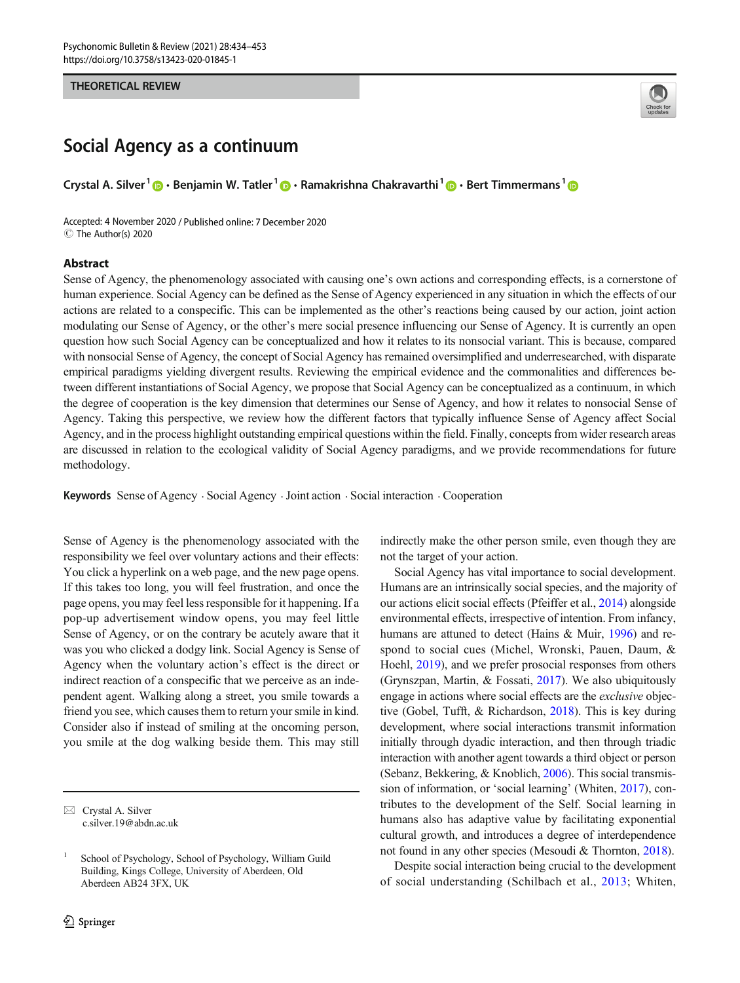### THEORETICAL REVIEW



# Social Agency as a continuum

Crystal A. Silver<sup>1</sup>  $\bigcirc$  · Benjamin W. Tatler<sup>1</sup>  $\bigcirc$  · Ramakrishna Chakravarthi<sup>1</sup>  $\bigcirc$  · Bert Timmermans<sup>1</sup>  $\bigcirc$ 

Accepted: 4 November 2020 / Published online: 7 December 2020  $\circledcirc$  The Author(s) 2020

## Abstract

Sense of Agency, the phenomenology associated with causing one's own actions and corresponding effects, is a cornerstone of human experience. Social Agency can be defined as the Sense of Agency experienced in any situation in which the effects of our actions are related to a conspecific. This can be implemented as the other's reactions being caused by our action, joint action modulating our Sense of Agency, or the other's mere social presence influencing our Sense of Agency. It is currently an open question how such Social Agency can be conceptualized and how it relates to its nonsocial variant. This is because, compared with nonsocial Sense of Agency, the concept of Social Agency has remained oversimplified and underresearched, with disparate empirical paradigms yielding divergent results. Reviewing the empirical evidence and the commonalities and differences between different instantiations of Social Agency, we propose that Social Agency can be conceptualized as a continuum, in which the degree of cooperation is the key dimension that determines our Sense of Agency, and how it relates to nonsocial Sense of Agency. Taking this perspective, we review how the different factors that typically influence Sense of Agency affect Social Agency, and in the process highlight outstanding empirical questions within the field. Finally, concepts from wider research areas are discussed in relation to the ecological validity of Social Agency paradigms, and we provide recommendations for future methodology.

Keywords Sense of Agency . Social Agency .Joint action . Social interaction . Cooperation

Sense of Agency is the phenomenology associated with the responsibility we feel over voluntary actions and their effects: You click a hyperlink on a web page, and the new page opens. If this takes too long, you will feel frustration, and once the page opens, you may feel less responsible for it happening. If a pop-up advertisement window opens, you may feel little Sense of Agency, or on the contrary be acutely aware that it was you who clicked a dodgy link. Social Agency is Sense of Agency when the voluntary action's effect is the direct or indirect reaction of a conspecific that we perceive as an independent agent. Walking along a street, you smile towards a friend you see, which causes them to return your smile in kind. Consider also if instead of smiling at the oncoming person, you smile at the dog walking beside them. This may still

indirectly make the other person smile, even though they are not the target of your action.

Social Agency has vital importance to social development. Humans are an intrinsically social species, and the majority of our actions elicit social effects (Pfeiffer et al., [2014\)](#page-18-0) alongside environmental effects, irrespective of intention. From infancy, humans are attuned to detect (Hains & Muir, [1996](#page-17-0)) and respond to social cues (Michel, Wronski, Pauen, Daum, & Hoehl, [2019\)](#page-18-0), and we prefer prosocial responses from others (Grynszpan, Martin, & Fossati, [2017\)](#page-17-0). We also ubiquitously engage in actions where social effects are the exclusive objective (Gobel, Tufft, & Richardson, [2018](#page-17-0)). This is key during development, where social interactions transmit information initially through dyadic interaction, and then through triadic interaction with another agent towards a third object or person (Sebanz, Bekkering, & Knoblich, [2006\)](#page-19-0). This social transmission of information, or 'social learning' (Whiten, [2017\)](#page-19-0), contributes to the development of the Self. Social learning in humans also has adaptive value by facilitating exponential cultural growth, and introduces a degree of interdependence not found in any other species (Mesoudi & Thornton, [2018](#page-18-0)).

Despite social interaction being crucial to the development of social understanding (Schilbach et al., [2013;](#page-19-0) Whiten,

 $\boxtimes$  Crystal A. Silver [c.silver.19@abdn.ac.uk](mailto:c.silver.19@abdn.ac.uk)

School of Psychology, School of Psychology, William Guild Building, Kings College, University of Aberdeen, Old Aberdeen AB24 3FX, UK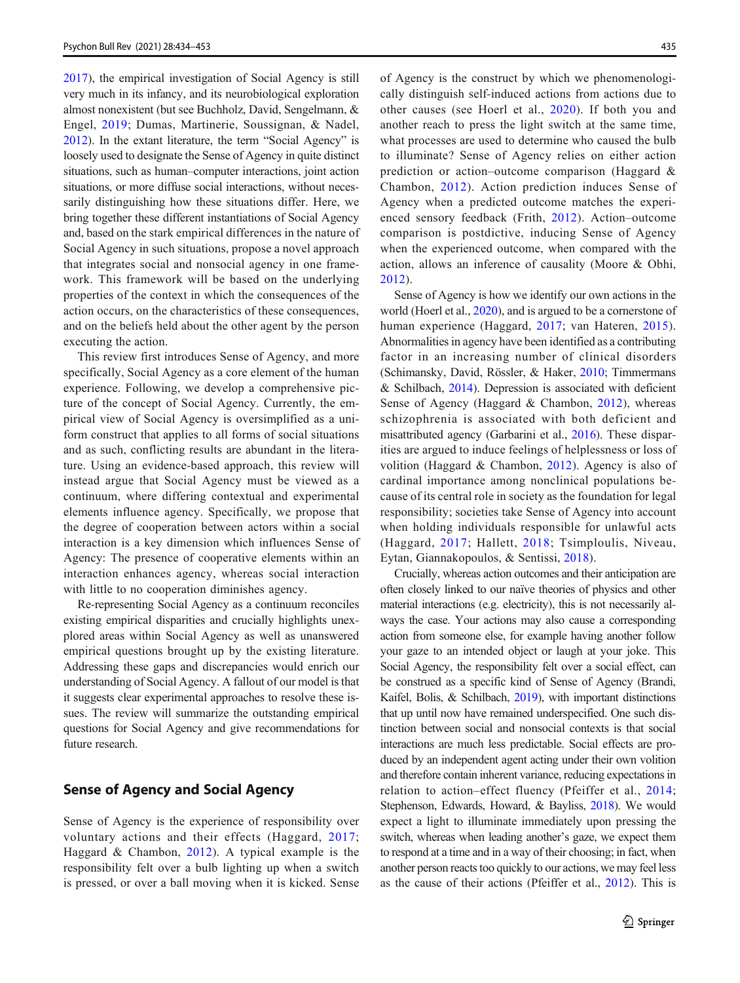[2017\)](#page-19-0), the empirical investigation of Social Agency is still very much in its infancy, and its neurobiological exploration almost nonexistent (but see Buchholz, David, Sengelmann, & Engel, [2019;](#page-16-0) Dumas, Martinerie, Soussignan, & Nadel, [2012\)](#page-17-0). In the extant literature, the term "Social Agency" is loosely used to designate the Sense of Agency in quite distinct situations, such as human–computer interactions, joint action situations, or more diffuse social interactions, without necessarily distinguishing how these situations differ. Here, we bring together these different instantiations of Social Agency and, based on the stark empirical differences in the nature of Social Agency in such situations, propose a novel approach that integrates social and nonsocial agency in one framework. This framework will be based on the underlying properties of the context in which the consequences of the action occurs, on the characteristics of these consequences, and on the beliefs held about the other agent by the person executing the action.

This review first introduces Sense of Agency, and more specifically, Social Agency as a core element of the human experience. Following, we develop a comprehensive picture of the concept of Social Agency. Currently, the empirical view of Social Agency is oversimplified as a uniform construct that applies to all forms of social situations and as such, conflicting results are abundant in the literature. Using an evidence-based approach, this review will instead argue that Social Agency must be viewed as a continuum, where differing contextual and experimental elements influence agency. Specifically, we propose that the degree of cooperation between actors within a social interaction is a key dimension which influences Sense of Agency: The presence of cooperative elements within an interaction enhances agency, whereas social interaction with little to no cooperation diminishes agency.

Re-representing Social Agency as a continuum reconciles existing empirical disparities and crucially highlights unexplored areas within Social Agency as well as unanswered empirical questions brought up by the existing literature. Addressing these gaps and discrepancies would enrich our understanding of Social Agency. A fallout of our model is that it suggests clear experimental approaches to resolve these issues. The review will summarize the outstanding empirical questions for Social Agency and give recommendations for future research.

## Sense of Agency and Social Agency

Sense of Agency is the experience of responsibility over voluntary actions and their effects (Haggard, [2017](#page-17-0); Haggard & Chambon, [2012\)](#page-17-0). A typical example is the responsibility felt over a bulb lighting up when a switch is pressed, or over a ball moving when it is kicked. Sense of Agency is the construct by which we phenomenologically distinguish self-induced actions from actions due to other causes (see Hoerl et al., [2020\)](#page-17-0). If both you and another reach to press the light switch at the same time, what processes are used to determine who caused the bulb to illuminate? Sense of Agency relies on either action prediction or action–outcome comparison (Haggard & Chambon, [2012](#page-17-0)). Action prediction induces Sense of Agency when a predicted outcome matches the experienced sensory feedback (Frith, [2012\)](#page-17-0). Action–outcome comparison is postdictive, inducing Sense of Agency when the experienced outcome, when compared with the action, allows an inference of causality (Moore & Obhi, [2012](#page-18-0)).

Sense of Agency is how we identify our own actions in the world (Hoerl et al., [2020\)](#page-17-0), and is argued to be a cornerstone of human experience (Haggard, [2017;](#page-17-0) van Hateren, [2015](#page-19-0)). Abnormalities in agency have been identified as a contributing factor in an increasing number of clinical disorders (Schimansky, David, Rössler, & Haker, [2010;](#page-19-0) Timmermans & Schilbach, [2014\)](#page-19-0). Depression is associated with deficient Sense of Agency (Haggard & Chambon, [2012](#page-17-0)), whereas schizophrenia is associated with both deficient and misattributed agency (Garbarini et al., [2016\)](#page-17-0). These disparities are argued to induce feelings of helplessness or loss of volition (Haggard & Chambon, [2012\)](#page-17-0). Agency is also of cardinal importance among nonclinical populations because of its central role in society as the foundation for legal responsibility; societies take Sense of Agency into account when holding individuals responsible for unlawful acts (Haggard, [2017](#page-17-0); Hallett, [2018](#page-17-0); Tsimploulis, Niveau, Eytan, Giannakopoulos, & Sentissi, [2018](#page-19-0)).

Crucially, whereas action outcomes and their anticipation are often closely linked to our naïve theories of physics and other material interactions (e.g. electricity), this is not necessarily always the case. Your actions may also cause a corresponding action from someone else, for example having another follow your gaze to an intended object or laugh at your joke. This Social Agency, the responsibility felt over a social effect, can be construed as a specific kind of Sense of Agency (Brandi, Kaifel, Bolis, & Schilbach, [2019\)](#page-16-0), with important distinctions that up until now have remained underspecified. One such distinction between social and nonsocial contexts is that social interactions are much less predictable. Social effects are produced by an independent agent acting under their own volition and therefore contain inherent variance, reducing expectations in relation to action–effect fluency (Pfeiffer et al., [2014;](#page-18-0) Stephenson, Edwards, Howard, & Bayliss, [2018](#page-19-0)). We would expect a light to illuminate immediately upon pressing the switch, whereas when leading another's gaze, we expect them to respond at a time and in a way of their choosing; in fact, when another person reacts too quickly to our actions, we may feel less as the cause of their actions (Pfeiffer et al., [2012](#page-18-0)). This is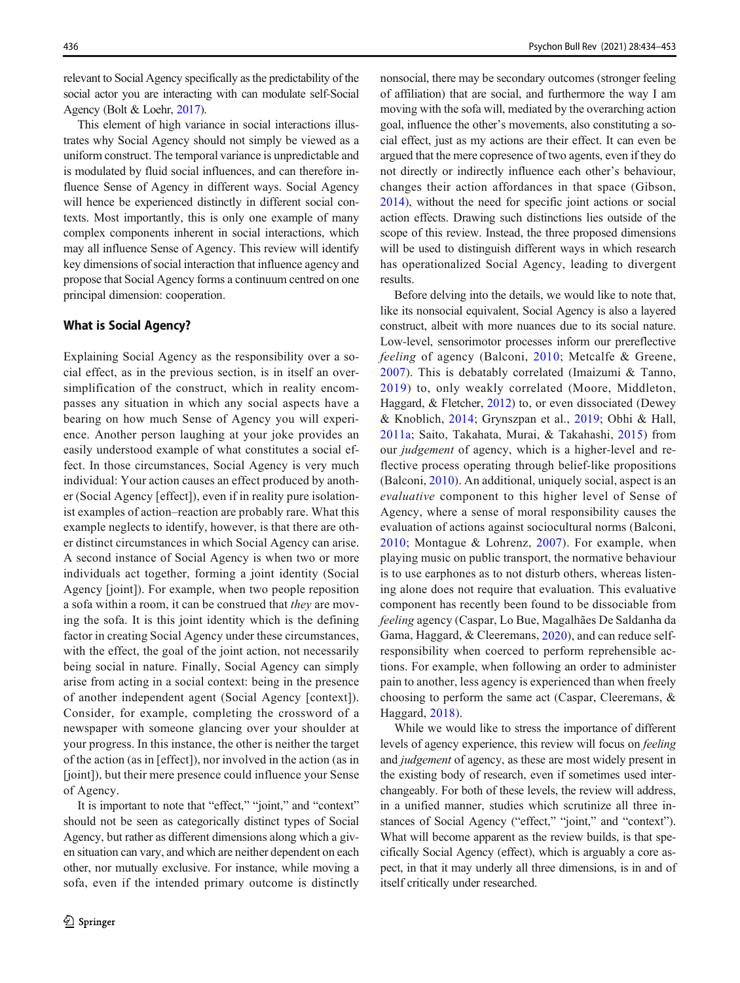relevant to Social Agency specifically as the predictability of the social actor you are interacting with can modulate self-Social Agency (Bolt & Loehr, [2017](#page-16-0)).

This element of high variance in social interactions illustrates why Social Agency should not simply be viewed as a uniform construct. The temporal variance is unpredictable and is modulated by fluid social influences, and can therefore influence Sense of Agency in different ways. Social Agency will hence be experienced distinctly in different social contexts. Most importantly, this is only one example of many complex components inherent in social interactions, which may all influence Sense of Agency. This review will identify key dimensions of social interaction that influence agency and propose that Social Agency forms a continuum centred on one principal dimension: cooperation.

### What is Social Agency?

Explaining Social Agency as the responsibility over a social effect, as in the previous section, is in itself an oversimplification of the construct, which in reality encompasses any situation in which any social aspects have a bearing on how much Sense of Agency you will experience. Another person laughing at your joke provides an easily understood example of what constitutes a social effect. In those circumstances, Social Agency is very much individual: Your action causes an effect produced by another (Social Agency [effect]), even if in reality pure isolationist examples of action–reaction are probably rare. What this example neglects to identify, however, is that there are other distinct circumstances in which Social Agency can arise. A second instance of Social Agency is when two or more individuals act together, forming a joint identity (Social Agency [joint]). For example, when two people reposition a sofa within a room, it can be construed that they are moving the sofa. It is this joint identity which is the defining factor in creating Social Agency under these circumstances, with the effect, the goal of the joint action, not necessarily being social in nature. Finally, Social Agency can simply arise from acting in a social context: being in the presence of another independent agent (Social Agency [context]). Consider, for example, completing the crossword of a newspaper with someone glancing over your shoulder at your progress. In this instance, the other is neither the target of the action (as in [effect]), nor involved in the action (as in [joint]), but their mere presence could influence your Sense of Agency.

It is important to note that "effect," "joint," and "context" should not be seen as categorically distinct types of Social Agency, but rather as different dimensions along which a given situation can vary, and which are neither dependent on each other, nor mutually exclusive. For instance, while moving a sofa, even if the intended primary outcome is distinctly nonsocial, there may be secondary outcomes (stronger feeling of affiliation) that are social, and furthermore the way I am moving with the sofa will, mediated by the overarching action goal, influence the other's movements, also constituting a social effect, just as my actions are their effect. It can even be argued that the mere copresence of two agents, even if they do not directly or indirectly influence each other's behaviour, changes their action affordances in that space (Gibson, [2014\)](#page-17-0), without the need for specific joint actions or social action effects. Drawing such distinctions lies outside of the scope of this review. Instead, the three proposed dimensions will be used to distinguish different ways in which research has operationalized Social Agency, leading to divergent results.

Before delving into the details, we would like to note that, like its nonsocial equivalent, Social Agency is also a layered construct, albeit with more nuances due to its social nature. Low-level, sensorimotor processes inform our prereflective feeling of agency (Balconi, [2010;](#page-16-0) Metcalfe & Greene, [2007\)](#page-18-0). This is debatably correlated (Imaizumi & Tanno, [2019\)](#page-17-0) to, only weakly correlated (Moore, Middleton, Haggard, & Fletcher, [2012\)](#page-18-0) to, or even dissociated (Dewey & Knoblich, [2014;](#page-17-0) Grynszpan et al., [2019;](#page-17-0) Obhi & Hall, [2011a;](#page-18-0) Saito, Takahata, Murai, & Takahashi, [2015\)](#page-19-0) from our judgement of agency, which is a higher-level and reflective process operating through belief-like propositions (Balconi, [2010\)](#page-16-0). An additional, uniquely social, aspect is an evaluative component to this higher level of Sense of Agency, where a sense of moral responsibility causes the evaluation of actions against sociocultural norms (Balconi, [2010;](#page-16-0) Montague & Lohrenz, [2007\)](#page-18-0). For example, when playing music on public transport, the normative behaviour is to use earphones as to not disturb others, whereas listening alone does not require that evaluation. This evaluative component has recently been found to be dissociable from feeling agency (Caspar, Lo Bue, Magalhães De Saldanha da Gama, Haggard, & Cleeremans, [2020\)](#page-16-0), and can reduce selfresponsibility when coerced to perform reprehensible actions. For example, when following an order to administer pain to another, less agency is experienced than when freely choosing to perform the same act (Caspar, Cleeremans, & Haggard, [2018\)](#page-16-0).

While we would like to stress the importance of different levels of agency experience, this review will focus on feeling and judgement of agency, as these are most widely present in the existing body of research, even if sometimes used interchangeably. For both of these levels, the review will address, in a unified manner, studies which scrutinize all three instances of Social Agency ("effect," "joint," and "context"). What will become apparent as the review builds, is that specifically Social Agency (effect), which is arguably a core aspect, in that it may underly all three dimensions, is in and of itself critically under researched.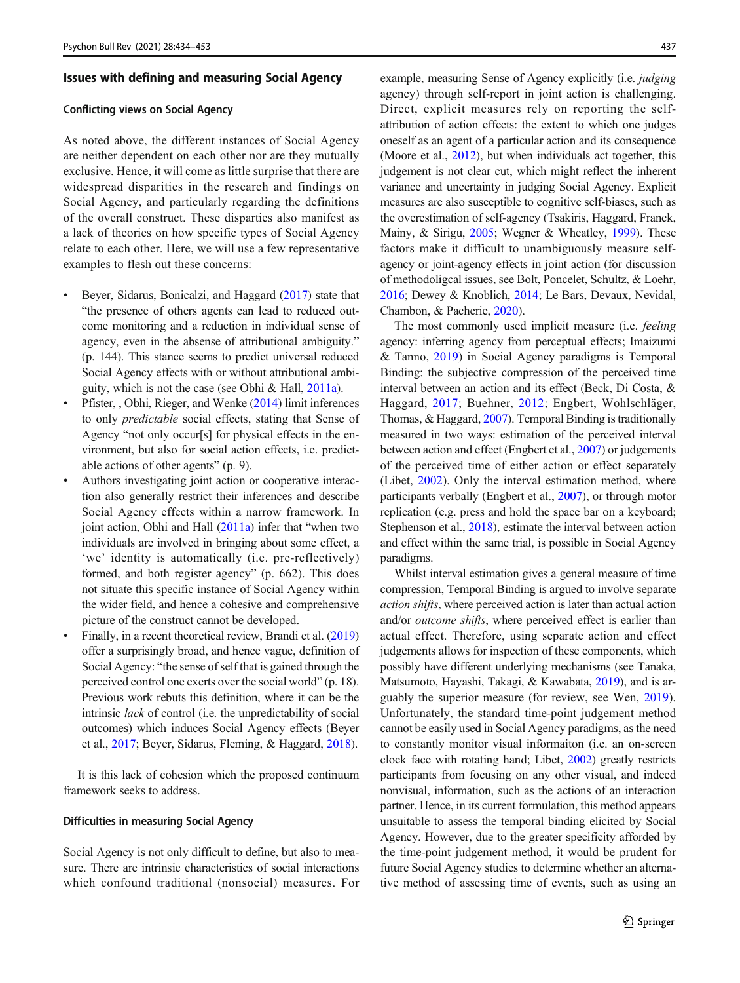#### Issues with defining and measuring Social Agency

#### Conflicting views on Social Agency

As noted above, the different instances of Social Agency are neither dependent on each other nor are they mutually exclusive. Hence, it will come as little surprise that there are widespread disparities in the research and findings on Social Agency, and particularly regarding the definitions of the overall construct. These disparties also manifest as a lack of theories on how specific types of Social Agency relate to each other. Here, we will use a few representative examples to flesh out these concerns:

- Beyer, Sidarus, Bonicalzi, and Haggard [\(2017\)](#page-16-0) state that "the presence of others agents can lead to reduced outcome monitoring and a reduction in individual sense of agency, even in the absense of attributional ambiguity." (p. 144). This stance seems to predict universal reduced Social Agency effects with or without attributional ambiguity, which is not the case (see Obhi & Hall, [2011a](#page-18-0)).
- Pfister, , Obhi, Rieger, and Wenke [\(2014\)](#page-18-0) limit inferences to only predictable social effects, stating that Sense of Agency "not only occur[s] for physical effects in the environment, but also for social action effects, i.e. predictable actions of other agents" (p. 9).
- Authors investigating joint action or cooperative interaction also generally restrict their inferences and describe Social Agency effects within a narrow framework. In joint action, Obhi and Hall ([2011a](#page-18-0)) infer that "when two individuals are involved in bringing about some effect, a 'we' identity is automatically (i.e. pre-reflectively) formed, and both register agency" (p. 662). This does not situate this specific instance of Social Agency within the wider field, and hence a cohesive and comprehensive picture of the construct cannot be developed.
- Finally, in a recent theoretical review, Brandi et al. [\(2019\)](#page-16-0) offer a surprisingly broad, and hence vague, definition of Social Agency: "the sense of self that is gained through the perceived control one exerts over the social world" (p. 18). Previous work rebuts this definition, where it can be the intrinsic lack of control (i.e. the unpredictability of social outcomes) which induces Social Agency effects (Beyer et al., [2017](#page-16-0); Beyer, Sidarus, Fleming, & Haggard, [2018\)](#page-16-0).

It is this lack of cohesion which the proposed continuum framework seeks to address.

#### Difficulties in measuring Social Agency

Social Agency is not only difficult to define, but also to measure. There are intrinsic characteristics of social interactions which confound traditional (nonsocial) measures. For

example, measuring Sense of Agency explicitly (i.e. judging agency) through self-report in joint action is challenging. Direct, explicit measures rely on reporting the selfattribution of action effects: the extent to which one judges oneself as an agent of a particular action and its consequence (Moore et al., [2012](#page-18-0)), but when individuals act together, this judgement is not clear cut, which might reflect the inherent variance and uncertainty in judging Social Agency. Explicit measures are also susceptible to cognitive self-biases, such as the overestimation of self-agency (Tsakiris, Haggard, Franck, Mainy, & Sirigu, [2005;](#page-19-0) Wegner & Wheatley, [1999\)](#page-19-0). These factors make it difficult to unambiguously measure selfagency or joint-agency effects in joint action (for discussion of methodoligcal issues, see Bolt, Poncelet, Schultz, & Loehr, [2016;](#page-16-0) Dewey & Knoblich, [2014;](#page-17-0) Le Bars, Devaux, Nevidal, Chambon, & Pacherie, [2020](#page-18-0)).

The most commonly used implicit measure (i.e. feeling agency: inferring agency from perceptual effects; Imaizumi & Tanno, [2019](#page-17-0)) in Social Agency paradigms is Temporal Binding: the subjective compression of the perceived time interval between an action and its effect (Beck, Di Costa, & Haggard, [2017](#page-17-0); Buehner, [2012](#page-16-0); Engbert, Wohlschläger, Thomas, & Haggard, [2007\)](#page-17-0). Temporal Binding is traditionally measured in two ways: estimation of the perceived interval between action and effect (Engbert et al., [2007](#page-17-0)) or judgements of the perceived time of either action or effect separately (Libet, [2002](#page-18-0)). Only the interval estimation method, where participants verbally (Engbert et al., [2007\)](#page-17-0), or through motor replication (e.g. press and hold the space bar on a keyboard; Stephenson et al., [2018\)](#page-19-0), estimate the interval between action and effect within the same trial, is possible in Social Agency paradigms.

Whilst interval estimation gives a general measure of time compression, Temporal Binding is argued to involve separate action shifts, where perceived action is later than actual action and/or *outcome shifts*, where perceived effect is earlier than actual effect. Therefore, using separate action and effect judgements allows for inspection of these components, which possibly have different underlying mechanisms (see Tanaka, Matsumoto, Hayashi, Takagi, & Kawabata, [2019](#page-19-0)), and is arguably the superior measure (for review, see Wen, [2019\)](#page-19-0). Unfortunately, the standard time-point judgement method cannot be easily used in Social Agency paradigms, as the need to constantly monitor visual informaiton (i.e. an on-screen clock face with rotating hand; Libet, [2002\)](#page-18-0) greatly restricts participants from focusing on any other visual, and indeed nonvisual, information, such as the actions of an interaction partner. Hence, in its current formulation, this method appears unsuitable to assess the temporal binding elicited by Social Agency. However, due to the greater specificity afforded by the time-point judgement method, it would be prudent for future Social Agency studies to determine whether an alternative method of assessing time of events, such as using an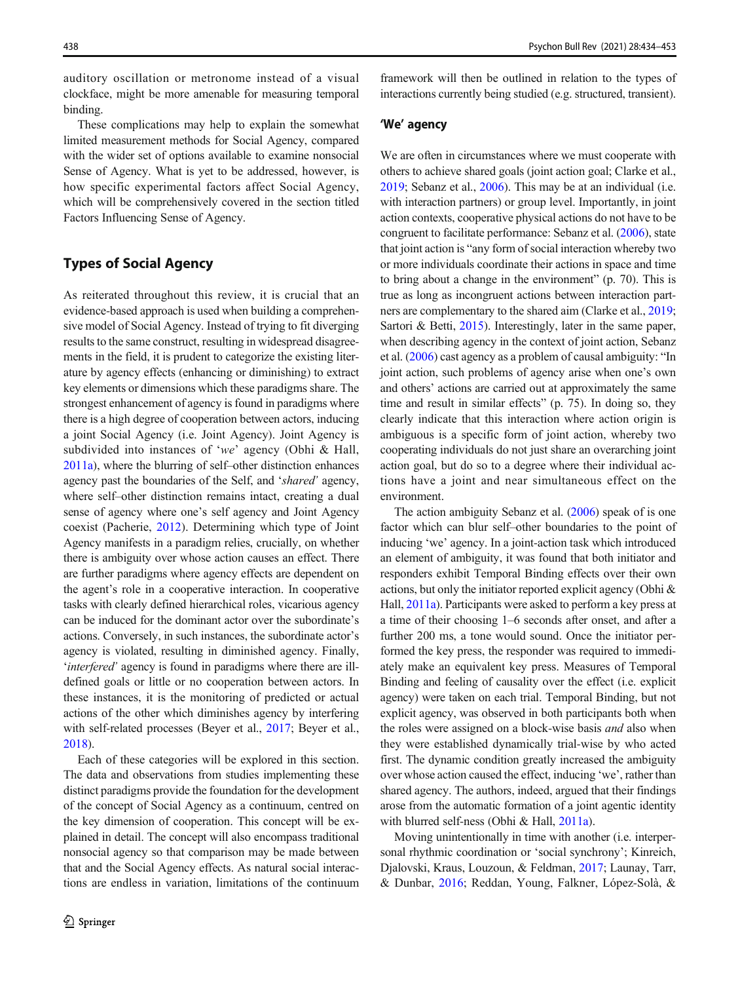<span id="page-4-0"></span>auditory oscillation or metronome instead of a visual clockface, might be more amenable for measuring temporal binding.

These complications may help to explain the somewhat limited measurement methods for Social Agency, compared with the wider set of options available to examine nonsocial Sense of Agency. What is yet to be addressed, however, is how specific experimental factors affect Social Agency, which will be comprehensively covered in the section titled Factors Influencing Sense of Agency.

## Types of Social Agency

As reiterated throughout this review, it is crucial that an evidence-based approach is used when building a comprehensive model of Social Agency. Instead of trying to fit diverging results to the same construct, resulting in widespread disagreements in the field, it is prudent to categorize the existing literature by agency effects (enhancing or diminishing) to extract key elements or dimensions which these paradigms share. The strongest enhancement of agency is found in paradigms where there is a high degree of cooperation between actors, inducing a joint Social Agency (i.e. Joint Agency). Joint Agency is subdivided into instances of 'we' agency (Obhi & Hall, [2011a\)](#page-18-0), where the blurring of self–other distinction enhances agency past the boundaries of the Self, and 'shared' agency, where self–other distinction remains intact, creating a dual sense of agency where one's self agency and Joint Agency coexist (Pacherie, [2012](#page-18-0)). Determining which type of Joint Agency manifests in a paradigm relies, crucially, on whether there is ambiguity over whose action causes an effect. There are further paradigms where agency effects are dependent on the agent's role in a cooperative interaction. In cooperative tasks with clearly defined hierarchical roles, vicarious agency can be induced for the dominant actor over the subordinate's actions. Conversely, in such instances, the subordinate actor's agency is violated, resulting in diminished agency. Finally, 'interfered' agency is found in paradigms where there are illdefined goals or little or no cooperation between actors. In these instances, it is the monitoring of predicted or actual actions of the other which diminishes agency by interfering with self-related processes (Beyer et al., [2017;](#page-16-0) Beyer et al., [2018\)](#page-16-0).

Each of these categories will be explored in this section. The data and observations from studies implementing these distinct paradigms provide the foundation for the development of the concept of Social Agency as a continuum, centred on the key dimension of cooperation. This concept will be explained in detail. The concept will also encompass traditional nonsocial agency so that comparison may be made between that and the Social Agency effects. As natural social interactions are endless in variation, limitations of the continuum

framework will then be outlined in relation to the types of interactions currently being studied (e.g. structured, transient).

## 'We' agency

We are often in circumstances where we must cooperate with others to achieve shared goals (joint action goal; Clarke et al., [2019;](#page-17-0) Sebanz et al., [2006\)](#page-19-0). This may be at an individual (i.e. with interaction partners) or group level. Importantly, in joint action contexts, cooperative physical actions do not have to be congruent to facilitate performance: Sebanz et al. [\(2006\)](#page-19-0), state that joint action is "any form of social interaction whereby two or more individuals coordinate their actions in space and time to bring about a change in the environment" (p. 70). This is true as long as incongruent actions between interaction partners are complementary to the shared aim (Clarke et al., [2019;](#page-17-0) Sartori & Betti, [2015\)](#page-19-0). Interestingly, later in the same paper, when describing agency in the context of joint action, Sebanz et al. ([2006](#page-19-0)) cast agency as a problem of causal ambiguity: "In joint action, such problems of agency arise when one's own and others' actions are carried out at approximately the same time and result in similar effects" (p. 75). In doing so, they clearly indicate that this interaction where action origin is ambiguous is a specific form of joint action, whereby two cooperating individuals do not just share an overarching joint action goal, but do so to a degree where their individual actions have a joint and near simultaneous effect on the environment.

The action ambiguity Sebanz et al. ([2006](#page-19-0)) speak of is one factor which can blur self–other boundaries to the point of inducing 'we' agency. In a joint-action task which introduced an element of ambiguity, it was found that both initiator and responders exhibit Temporal Binding effects over their own actions, but only the initiator reported explicit agency (Obhi & Hall, [2011a\)](#page-18-0). Participants were asked to perform a key press at a time of their choosing 1–6 seconds after onset, and after a further 200 ms, a tone would sound. Once the initiator performed the key press, the responder was required to immediately make an equivalent key press. Measures of Temporal Binding and feeling of causality over the effect (i.e. explicit agency) were taken on each trial. Temporal Binding, but not explicit agency, was observed in both participants both when the roles were assigned on a block-wise basis and also when they were established dynamically trial-wise by who acted first. The dynamic condition greatly increased the ambiguity over whose action caused the effect, inducing 'we', rather than shared agency. The authors, indeed, argued that their findings arose from the automatic formation of a joint agentic identity with blurred self-ness (Obhi & Hall, [2011a\)](#page-18-0).

Moving unintentionally in time with another (i.e. interpersonal rhythmic coordination or 'social synchrony'; Kinreich, Djalovski, Kraus, Louzoun, & Feldman, [2017;](#page-17-0) Launay, Tarr, & Dunbar, [2016](#page-18-0); Reddan, Young, Falkner, López-Solà, &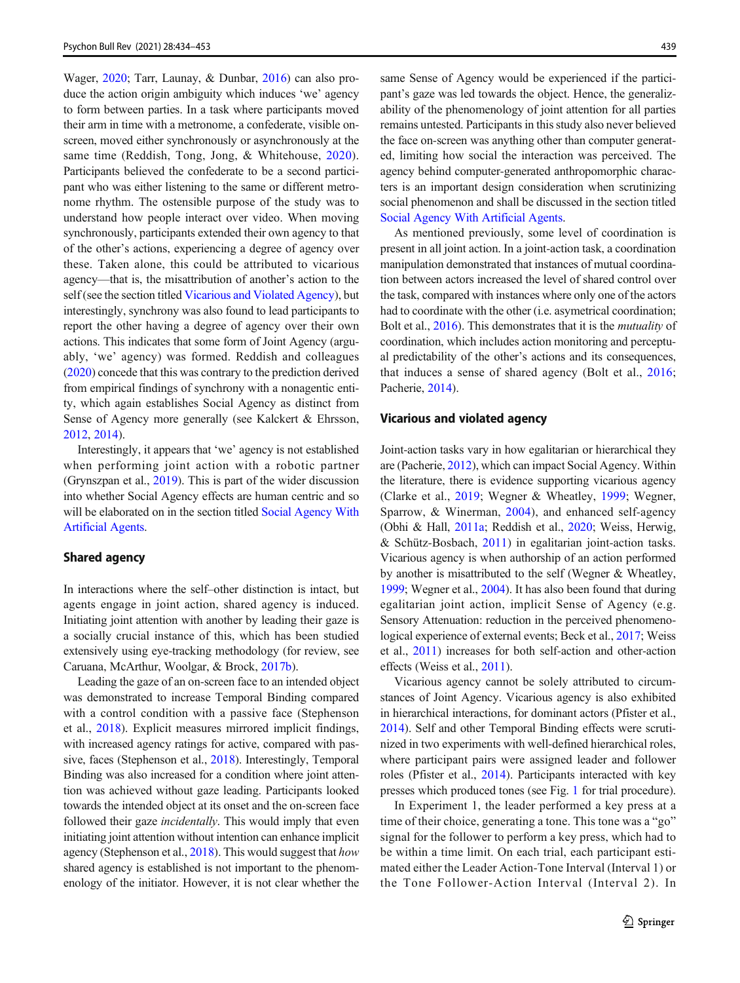<span id="page-5-0"></span>Wager, [2020](#page-18-0); Tarr, Launay, & Dunbar, [2016\)](#page-19-0) can also produce the action origin ambiguity which induces 'we' agency to form between parties. In a task where participants moved their arm in time with a metronome, a confederate, visible onscreen, moved either synchronously or asynchronously at the same time (Reddish, Tong, Jong, & Whitehouse, [2020](#page-18-0)). Participants believed the confederate to be a second participant who was either listening to the same or different metronome rhythm. The ostensible purpose of the study was to understand how people interact over video. When moving synchronously, participants extended their own agency to that of the other's actions, experiencing a degree of agency over these. Taken alone, this could be attributed to vicarious agency—that is, the misattribution of another's action to the self (see the section titled Vicarious and Violated Agency), but interestingly, synchrony was also found to lead participants to report the other having a degree of agency over their own actions. This indicates that some form of Joint Agency (arguably, 'we' agency) was formed. Reddish and colleagues [\(2020\)](#page-18-0) concede that this was contrary to the prediction derived from empirical findings of synchrony with a nonagentic entity, which again establishes Social Agency as distinct from Sense of Agency more generally (see Kalckert & Ehrsson, [2012,](#page-17-0) [2014](#page-17-0)).

Interestingly, it appears that 'we' agency is not established when performing joint action with a robotic partner (Grynszpan et al., [2019\)](#page-17-0). This is part of the wider discussion into whether Social Agency effects are human centric and so will be elaborated on in the section titled [Social Agency With](#page-14-0) [Artificial Agents](#page-14-0).

### Shared agency

In interactions where the self–other distinction is intact, but agents engage in joint action, shared agency is induced. Initiating joint attention with another by leading their gaze is a socially crucial instance of this, which has been studied extensively using eye-tracking methodology (for review, see Caruana, McArthur, Woolgar, & Brock, [2017b\)](#page-16-0).

Leading the gaze of an on-screen face to an intended object was demonstrated to increase Temporal Binding compared with a control condition with a passive face (Stephenson et al., [2018](#page-19-0)). Explicit measures mirrored implicit findings, with increased agency ratings for active, compared with passive, faces (Stephenson et al., [2018](#page-19-0)). Interestingly, Temporal Binding was also increased for a condition where joint attention was achieved without gaze leading. Participants looked towards the intended object at its onset and the on-screen face followed their gaze *incidentally*. This would imply that even initiating joint attention without intention can enhance implicit agency (Stephenson et al., [2018](#page-19-0)). This would suggest that how shared agency is established is not important to the phenomenology of the initiator. However, it is not clear whether the

same Sense of Agency would be experienced if the participant's gaze was led towards the object. Hence, the generalizability of the phenomenology of joint attention for all parties remains untested. Participants in this study also never believed the face on-screen was anything other than computer generated, limiting how social the interaction was perceived. The agency behind computer-generated anthropomorphic characters is an important design consideration when scrutinizing social phenomenon and shall be discussed in the section titled [Social Agency With Artificial Agents.](#page-14-0)

As mentioned previously, some level of coordination is present in all joint action. In a joint-action task, a coordination manipulation demonstrated that instances of mutual coordination between actors increased the level of shared control over the task, compared with instances where only one of the actors had to coordinate with the other (i.e. asymetrical coordination; Bolt et al., [2016](#page-16-0)). This demonstrates that it is the mutuality of coordination, which includes action monitoring and perceptual predictability of the other's actions and its consequences, that induces a sense of shared agency (Bolt et al., [2016;](#page-16-0) Pacherie, [2014\)](#page-18-0).

### Vicarious and violated agency

Joint-action tasks vary in how egalitarian or hierarchical they are (Pacherie, [2012\)](#page-18-0), which can impact Social Agency. Within the literature, there is evidence supporting vicarious agency (Clarke et al., [2019](#page-17-0); Wegner & Wheatley, [1999;](#page-19-0) Wegner, Sparrow, & Winerman, [2004\)](#page-19-0), and enhanced self-agency (Obhi & Hall, [2011a;](#page-18-0) Reddish et al., [2020;](#page-18-0) Weiss, Herwig, & Schütz-Bosbach, [2011\)](#page-19-0) in egalitarian joint-action tasks. Vicarious agency is when authorship of an action performed by another is misattributed to the self (Wegner & Wheatley, [1999;](#page-19-0) Wegner et al., [2004\)](#page-19-0). It has also been found that during egalitarian joint action, implicit Sense of Agency (e.g. Sensory Attenuation: reduction in the perceived phenomenological experience of external events; Beck et al., [2017;](#page-16-0) Weiss et al., [2011](#page-19-0)) increases for both self-action and other-action effects (Weiss et al., [2011](#page-19-0)).

Vicarious agency cannot be solely attributed to circumstances of Joint Agency. Vicarious agency is also exhibited in hierarchical interactions, for dominant actors (Pfister et al., [2014\)](#page-18-0). Self and other Temporal Binding effects were scrutinized in two experiments with well-defined hierarchical roles, where participant pairs were assigned leader and follower roles (Pfister et al., [2014](#page-18-0)). Participants interacted with key presses which produced tones (see Fig. [1](#page-6-0) for trial procedure).

In Experiment 1, the leader performed a key press at a time of their choice, generating a tone. This tone was a "go" signal for the follower to perform a key press, which had to be within a time limit. On each trial, each participant estimated either the Leader Action-Tone Interval (Interval 1) or the Tone Follower-Action Interval (Interval 2). In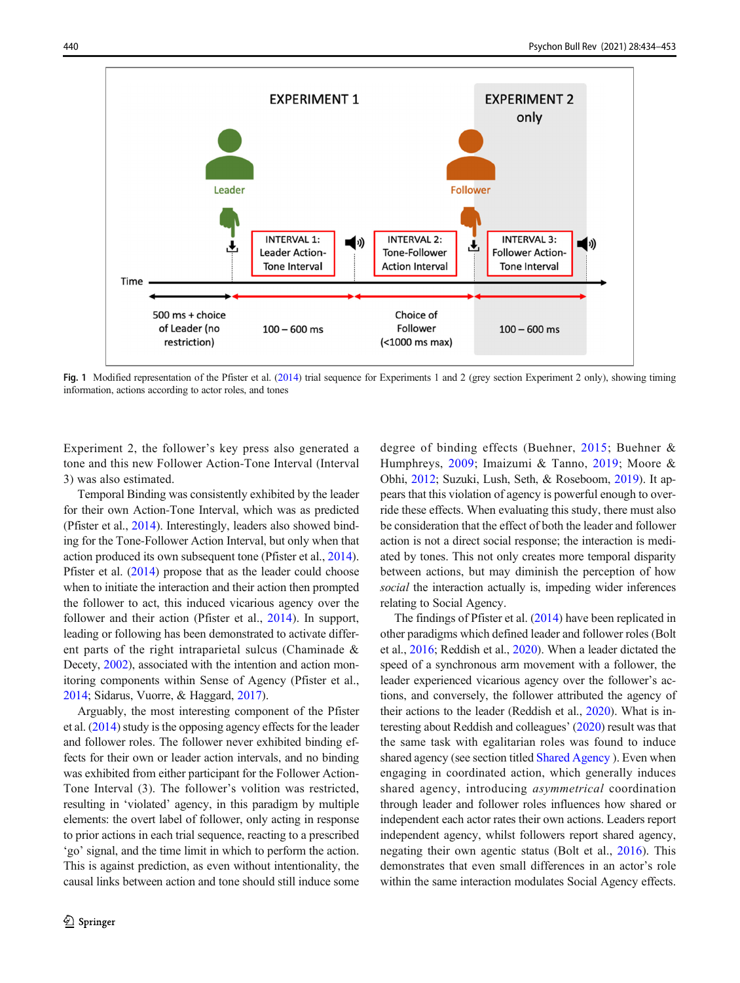<span id="page-6-0"></span>

Fig. 1 Modified representation of the Pfister et al. ([2014](#page-18-0)) trial sequence for Experiments 1 and 2 (grey section Experiment 2 only), showing timing information, actions according to actor roles, and tones

Experiment 2, the follower's key press also generated a tone and this new Follower Action-Tone Interval (Interval 3) was also estimated.

Temporal Binding was consistently exhibited by the leader for their own Action-Tone Interval, which was as predicted (Pfister et al., [2014\)](#page-18-0). Interestingly, leaders also showed binding for the Tone-Follower Action Interval, but only when that action produced its own subsequent tone (Pfister et al., [2014\)](#page-18-0). Pfister et al. ([2014](#page-18-0)) propose that as the leader could choose when to initiate the interaction and their action then prompted the follower to act, this induced vicarious agency over the follower and their action (Pfister et al., [2014](#page-18-0)). In support, leading or following has been demonstrated to activate different parts of the right intraparietal sulcus (Chaminade & Decety, [2002](#page-16-0)), associated with the intention and action monitoring components within Sense of Agency (Pfister et al., [2014;](#page-18-0) Sidarus, Vuorre, & Haggard, [2017\)](#page-17-0).

Arguably, the most interesting component of the Pfister et al. [\(2014\)](#page-18-0) study is the opposing agency effects for the leader and follower roles. The follower never exhibited binding effects for their own or leader action intervals, and no binding was exhibited from either participant for the Follower Action-Tone Interval (3). The follower's volition was restricted, resulting in 'violated' agency, in this paradigm by multiple elements: the overt label of follower, only acting in response to prior actions in each trial sequence, reacting to a prescribed 'go' signal, and the time limit in which to perform the action. This is against prediction, as even without intentionality, the causal links between action and tone should still induce some

degree of binding effects (Buehner, [2015](#page-16-0); Buehner & Humphreys, [2009;](#page-16-0) Imaizumi & Tanno, [2019](#page-17-0); Moore & Obhi, [2012;](#page-18-0) Suzuki, Lush, Seth, & Roseboom, [2019](#page-19-0)). It appears that this violation of agency is powerful enough to override these effects. When evaluating this study, there must also be consideration that the effect of both the leader and follower action is not a direct social response; the interaction is mediated by tones. This not only creates more temporal disparity between actions, but may diminish the perception of how social the interaction actually is, impeding wider inferences relating to Social Agency.

The findings of Pfister et al. [\(2014\)](#page-18-0) have been replicated in other paradigms which defined leader and follower roles (Bolt et al., [2016](#page-16-0); Reddish et al., [2020](#page-18-0)). When a leader dictated the speed of a synchronous arm movement with a follower, the leader experienced vicarious agency over the follower's actions, and conversely, the follower attributed the agency of their actions to the leader (Reddish et al., [2020](#page-18-0)). What is interesting about Reddish and colleagues' [\(2020\)](#page-18-0) result was that the same task with egalitarian roles was found to induce shared agency (see section titled [Shared Agency](#page-5-0) ). Even when engaging in coordinated action, which generally induces shared agency, introducing asymmetrical coordination through leader and follower roles influences how shared or independent each actor rates their own actions. Leaders report independent agency, whilst followers report shared agency, negating their own agentic status (Bolt et al., [2016](#page-16-0)). This demonstrates that even small differences in an actor's role within the same interaction modulates Social Agency effects.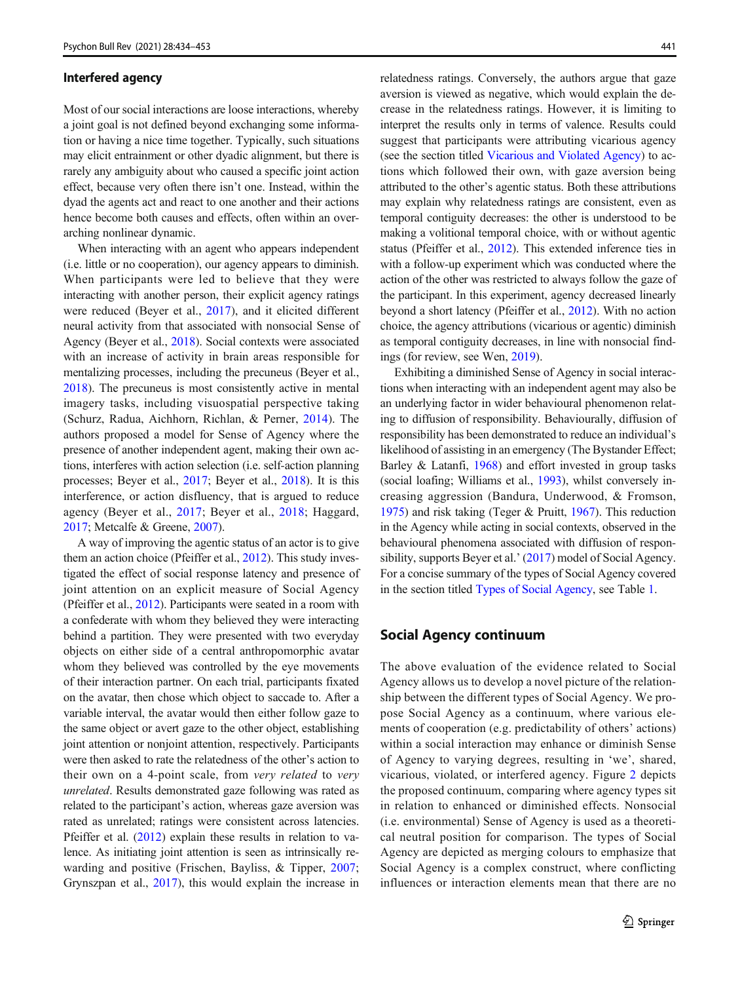#### Interfered agency

Most of our social interactions are loose interactions, whereby a joint goal is not defined beyond exchanging some information or having a nice time together. Typically, such situations may elicit entrainment or other dyadic alignment, but there is rarely any ambiguity about who caused a specific joint action effect, because very often there isn't one. Instead, within the dyad the agents act and react to one another and their actions hence become both causes and effects, often within an overarching nonlinear dynamic.

When interacting with an agent who appears independent (i.e. little or no cooperation), our agency appears to diminish. When participants were led to believe that they were interacting with another person, their explicit agency ratings were reduced (Beyer et al., [2017](#page-16-0)), and it elicited different neural activity from that associated with nonsocial Sense of Agency (Beyer et al., [2018](#page-16-0)). Social contexts were associated with an increase of activity in brain areas responsible for mentalizing processes, including the precuneus (Beyer et al., [2018\)](#page-16-0). The precuneus is most consistently active in mental imagery tasks, including visuospatial perspective taking (Schurz, Radua, Aichhorn, Richlan, & Perner, [2014](#page-19-0)). The authors proposed a model for Sense of Agency where the presence of another independent agent, making their own actions, interferes with action selection (i.e. self-action planning processes; Beyer et al., [2017](#page-16-0); Beyer et al., [2018](#page-16-0)). It is this interference, or action disfluency, that is argued to reduce agency (Beyer et al., [2017;](#page-16-0) Beyer et al., [2018](#page-16-0); Haggard, [2017;](#page-17-0) Metcalfe & Greene, [2007\)](#page-18-0).

A way of improving the agentic status of an actor is to give them an action choice (Pfeiffer et al., [2012\)](#page-18-0). This study investigated the effect of social response latency and presence of joint attention on an explicit measure of Social Agency (Pfeiffer et al., [2012\)](#page-18-0). Participants were seated in a room with a confederate with whom they believed they were interacting behind a partition. They were presented with two everyday objects on either side of a central anthropomorphic avatar whom they believed was controlled by the eye movements of their interaction partner. On each trial, participants fixated on the avatar, then chose which object to saccade to. After a variable interval, the avatar would then either follow gaze to the same object or avert gaze to the other object, establishing joint attention or nonjoint attention, respectively. Participants were then asked to rate the relatedness of the other's action to their own on a 4-point scale, from very related to very unrelated. Results demonstrated gaze following was rated as related to the participant's action, whereas gaze aversion was rated as unrelated; ratings were consistent across latencies. Pfeiffer et al. [\(2012](#page-18-0)) explain these results in relation to valence. As initiating joint attention is seen as intrinsically rewarding and positive (Frischen, Bayliss, & Tipper, [2007](#page-17-0); Grynszpan et al., [2017\)](#page-17-0), this would explain the increase in

relatedness ratings. Conversely, the authors argue that gaze aversion is viewed as negative, which would explain the decrease in the relatedness ratings. However, it is limiting to interpret the results only in terms of valence. Results could suggest that participants were attributing vicarious agency (see the section titled [Vicarious and Violated Agency\)](#page-5-0) to actions which followed their own, with gaze aversion being attributed to the other's agentic status. Both these attributions may explain why relatedness ratings are consistent, even as temporal contiguity decreases: the other is understood to be making a volitional temporal choice, with or without agentic status (Pfeiffer et al., [2012](#page-18-0)). This extended inference ties in with a follow-up experiment which was conducted where the action of the other was restricted to always follow the gaze of the participant. In this experiment, agency decreased linearly beyond a short latency (Pfeiffer et al., [2012](#page-18-0)). With no action choice, the agency attributions (vicarious or agentic) diminish as temporal contiguity decreases, in line with nonsocial findings (for review, see Wen, [2019](#page-19-0)).

Exhibiting a diminished Sense of Agency in social interactions when interacting with an independent agent may also be an underlying factor in wider behavioural phenomenon relating to diffusion of responsibility. Behaviourally, diffusion of responsibility has been demonstrated to reduce an individual's likelihood of assisting in an emergency (The Bystander Effect; Barley & Latanfi, [1968\)](#page-16-0) and effort invested in group tasks (social loafing; Williams et al., [1993](#page-19-0)), whilst conversely increasing aggression (Bandura, Underwood, & Fromson, [1975\)](#page-16-0) and risk taking (Teger & Pruitt, [1967\)](#page-19-0). This reduction in the Agency while acting in social contexts, observed in the behavioural phenomena associated with diffusion of respon-sibility, supports Beyer et al.' [\(2017\)](#page-16-0) model of Social Agency. For a concise summary of the types of Social Agency covered in the section titled [Types of Social Agency](#page-4-0), see Table [1.](#page-8-0)

## Social Agency continuum

The above evaluation of the evidence related to Social Agency allows us to develop a novel picture of the relationship between the different types of Social Agency. We propose Social Agency as a continuum, where various elements of cooperation (e.g. predictability of others' actions) within a social interaction may enhance or diminish Sense of Agency to varying degrees, resulting in 'we', shared, vicarious, violated, or interfered agency. Figure [2](#page-9-0) depicts the proposed continuum, comparing where agency types sit in relation to enhanced or diminished effects. Nonsocial (i.e. environmental) Sense of Agency is used as a theoretical neutral position for comparison. The types of Social Agency are depicted as merging colours to emphasize that Social Agency is a complex construct, where conflicting influences or interaction elements mean that there are no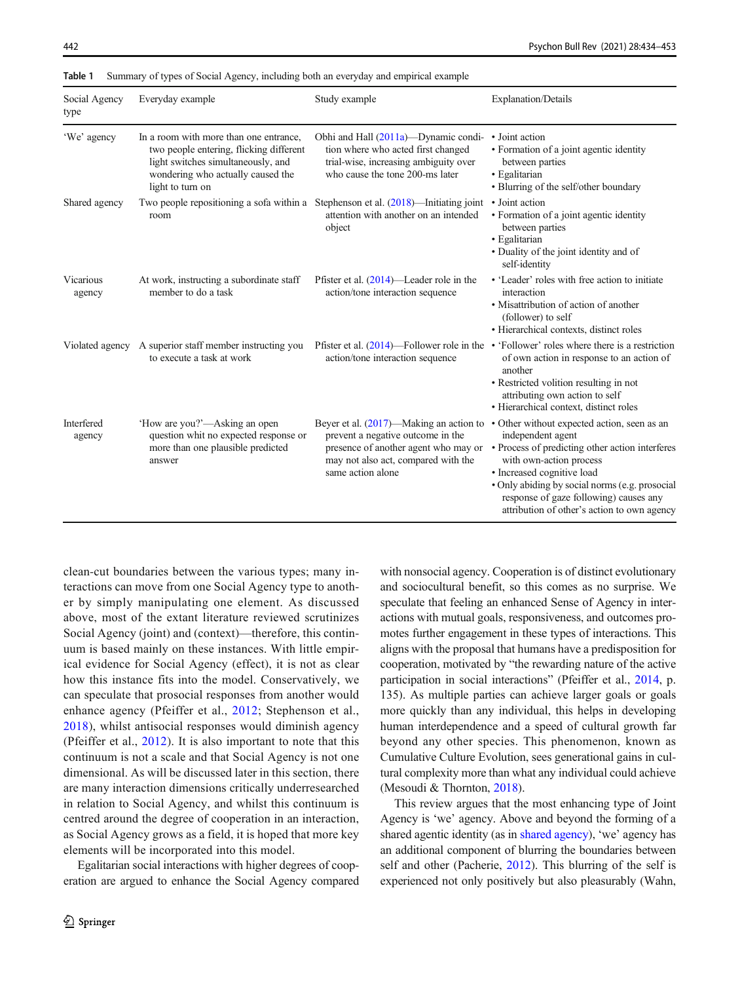| Social Agency<br>type       | Everyday example                                                                                                                                                                 | Study example                                                                                                                                                                       | <b>Explanation/Details</b>                                                                                                                                                                                                                                                                                              |
|-----------------------------|----------------------------------------------------------------------------------------------------------------------------------------------------------------------------------|-------------------------------------------------------------------------------------------------------------------------------------------------------------------------------------|-------------------------------------------------------------------------------------------------------------------------------------------------------------------------------------------------------------------------------------------------------------------------------------------------------------------------|
| 'We' agency                 | In a room with more than one entrance.<br>two people entering, flicking different<br>light switches simultaneously, and<br>wondering who actually caused the<br>light to turn on | Obhi and Hall (2011a)—Dynamic condi-<br>tion where who acted first changed<br>trial-wise, increasing ambiguity over<br>who cause the tone 200-ms later                              | • Joint action<br>• Formation of a joint agentic identity<br>between parties<br>• Egalitarian<br>• Blurring of the self/other boundary                                                                                                                                                                                  |
| Shared agency               | Two people repositioning a sofa within a<br>room                                                                                                                                 | Stephenson et al. $(2018)$ —Initiating joint<br>attention with another on an intended<br>object                                                                                     | • Joint action<br>• Formation of a joint agentic identity<br>between parties<br>• Egalitarian<br>• Duality of the joint identity and of<br>self-identity                                                                                                                                                                |
| <b>Vicarious</b><br>agency  | At work, instructing a subordinate staff<br>member to do a task                                                                                                                  | Pfister et al. $(2014)$ —Leader role in the<br>action/tone interaction sequence                                                                                                     | • 'Leader' roles with free action to initiate<br>interaction<br>• Misattribution of action of another<br>(follower) to self<br>• Hierarchical contexts, distinct roles                                                                                                                                                  |
|                             | Violated agency A superior staff member instructing you<br>to execute a task at work                                                                                             | action/tone interaction sequence                                                                                                                                                    | Pfister et al. $(2014)$ —Follower role in the • 'Follower' roles where there is a restriction<br>of own action in response to an action of<br>another<br>• Restricted volition resulting in not<br>attributing own action to self<br>• Hierarchical context, distinct roles                                             |
| <b>Interfered</b><br>agency | 'How are you?'—Asking an open<br>question whit no expected response or<br>more than one plausible predicted<br>answer                                                            | Beyer et al. $(2017)$ —Making an action to<br>prevent a negative outcome in the<br>presence of another agent who may or<br>may not also act, compared with the<br>same action alone | • Other without expected action, seen as an<br>independent agent<br>• Process of predicting other action interferes<br>with own-action process<br>· Increased cognitive load<br>• Only abiding by social norms (e.g. prosocial<br>response of gaze following) causes any<br>attribution of other's action to own agency |

<span id="page-8-0"></span>Table 1 Summary of types of Social Agency, including both an everyday and empirical example

clean-cut boundaries between the various types; many interactions can move from one Social Agency type to another by simply manipulating one element. As discussed above, most of the extant literature reviewed scrutinizes Social Agency (joint) and (context)—therefore, this continuum is based mainly on these instances. With little empirical evidence for Social Agency (effect), it is not as clear how this instance fits into the model. Conservatively, we can speculate that prosocial responses from another would enhance agency (Pfeiffer et al., [2012;](#page-18-0) Stephenson et al., [2018](#page-19-0)), whilst antisocial responses would diminish agency (Pfeiffer et al., [2012\)](#page-18-0). It is also important to note that this continuum is not a scale and that Social Agency is not one dimensional. As will be discussed later in this section, there are many interaction dimensions critically underresearched in relation to Social Agency, and whilst this continuum is centred around the degree of cooperation in an interaction, as Social Agency grows as a field, it is hoped that more key elements will be incorporated into this model.

Egalitarian social interactions with higher degrees of cooperation are argued to enhance the Social Agency compared with nonsocial agency. Cooperation is of distinct evolutionary and sociocultural benefit, so this comes as no surprise. We speculate that feeling an enhanced Sense of Agency in interactions with mutual goals, responsiveness, and outcomes promotes further engagement in these types of interactions. This aligns with the proposal that humans have a predisposition for cooperation, motivated by "the rewarding nature of the active participation in social interactions" (Pfeiffer et al., [2014,](#page-18-0) p. 135). As multiple parties can achieve larger goals or goals more quickly than any individual, this helps in developing human interdependence and a speed of cultural growth far beyond any other species. This phenomenon, known as Cumulative Culture Evolution, sees generational gains in cultural complexity more than what any individual could achieve (Mesoudi & Thornton, [2018](#page-18-0)).

This review argues that the most enhancing type of Joint Agency is 'we' agency. Above and beyond the forming of a shared agentic identity (as in [shared agency\)](#page-5-0), 'we' agency has an additional component of blurring the boundaries between self and other (Pacherie, [2012\)](#page-18-0). This blurring of the self is experienced not only positively but also pleasurably (Wahn,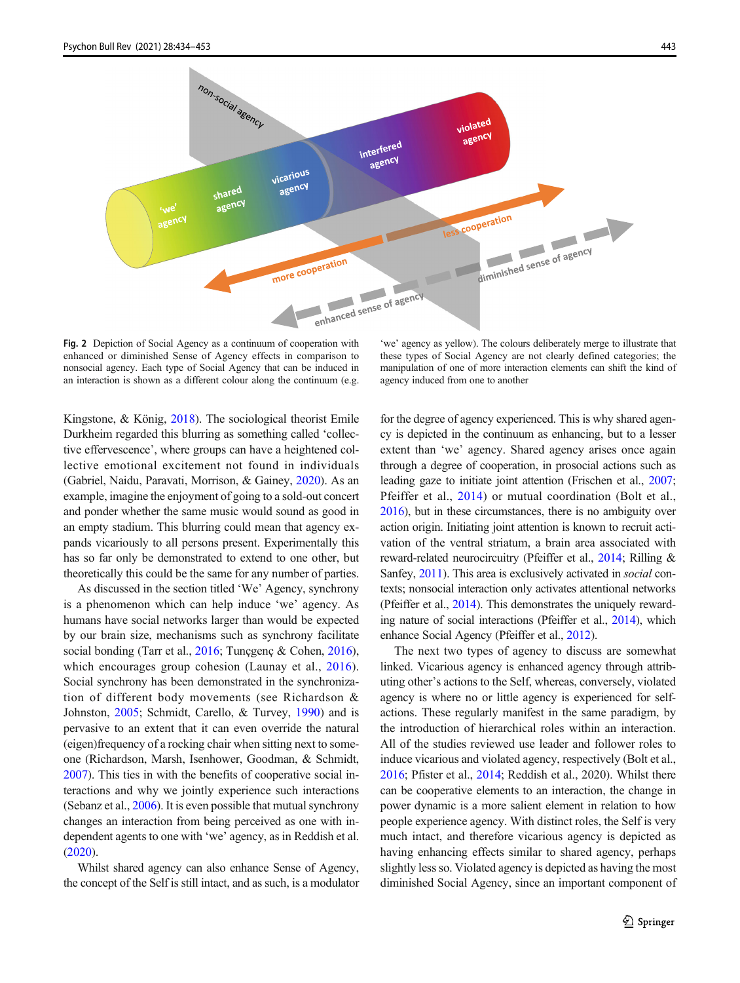<span id="page-9-0"></span>

Fig. 2 Depiction of Social Agency as a continuum of cooperation with enhanced or diminished Sense of Agency effects in comparison to nonsocial agency. Each type of Social Agency that can be induced in an interaction is shown as a different colour along the continuum (e.g.

'we' agency as yellow). The colours deliberately merge to illustrate that these types of Social Agency are not clearly defined categories; the manipulation of one of more interaction elements can shift the kind of agency induced from one to another

Kingstone, & König, [2018](#page-19-0)). The sociological theorist Emile Durkheim regarded this blurring as something called 'collective effervescence', where groups can have a heightened collective emotional excitement not found in individuals (Gabriel, Naidu, Paravati, Morrison, & Gainey, [2020\)](#page-17-0). As an example, imagine the enjoyment of going to a sold-out concert and ponder whether the same music would sound as good in an empty stadium. This blurring could mean that agency expands vicariously to all persons present. Experimentally this has so far only be demonstrated to extend to one other, but theoretically this could be the same for any number of parties.

As discussed in the section titled 'We' Agency, synchrony is a phenomenon which can help induce 'we' agency. As humans have social networks larger than would be expected by our brain size, mechanisms such as synchrony facilitate social bonding (Tarr et al., [2016;](#page-19-0) Tuncgenç & Cohen, [2016\)](#page-19-0), which encourages group cohesion (Launay et al., [2016](#page-18-0)). Social synchrony has been demonstrated in the synchronization of different body movements (see Richardson & Johnston, [2005;](#page-18-0) Schmidt, Carello, & Turvey, [1990\)](#page-19-0) and is pervasive to an extent that it can even override the natural (eigen)frequency of a rocking chair when sitting next to someone (Richardson, Marsh, Isenhower, Goodman, & Schmidt, [2007\)](#page-18-0). This ties in with the benefits of cooperative social interactions and why we jointly experience such interactions (Sebanz et al., [2006](#page-19-0)). It is even possible that mutual synchrony changes an interaction from being perceived as one with independent agents to one with 'we' agency, as in Reddish et al. [\(2020\)](#page-18-0).

Whilst shared agency can also enhance Sense of Agency, the concept of the Self is still intact, and as such, is a modulator

for the degree of agency experienced. This is why shared agency is depicted in the continuum as enhancing, but to a lesser extent than 'we' agency. Shared agency arises once again through a degree of cooperation, in prosocial actions such as leading gaze to initiate joint attention (Frischen et al., [2007;](#page-17-0) Pfeiffer et al., [2014\)](#page-18-0) or mutual coordination (Bolt et al., [2016](#page-16-0)), but in these circumstances, there is no ambiguity over action origin. Initiating joint attention is known to recruit activation of the ventral striatum, a brain area associated with reward-related neurocircuitry (Pfeiffer et al., [2014;](#page-18-0) Rilling & Sanfey, [2011\)](#page-18-0). This area is exclusively activated in social contexts; nonsocial interaction only activates attentional networks (Pfeiffer et al., [2014](#page-18-0)). This demonstrates the uniquely rewarding nature of social interactions (Pfeiffer et al., [2014\)](#page-18-0), which enhance Social Agency (Pfeiffer et al., [2012\)](#page-18-0).

The next two types of agency to discuss are somewhat linked. Vicarious agency is enhanced agency through attributing other's actions to the Self, whereas, conversely, violated agency is where no or little agency is experienced for selfactions. These regularly manifest in the same paradigm, by the introduction of hierarchical roles within an interaction. All of the studies reviewed use leader and follower roles to induce vicarious and violated agency, respectively (Bolt et al., [2016;](#page-16-0) Pfister et al., [2014](#page-18-0); Reddish et al., 2020). Whilst there can be cooperative elements to an interaction, the change in power dynamic is a more salient element in relation to how people experience agency. With distinct roles, the Self is very much intact, and therefore vicarious agency is depicted as having enhancing effects similar to shared agency, perhaps slightly less so. Violated agency is depicted as having the most diminished Social Agency, since an important component of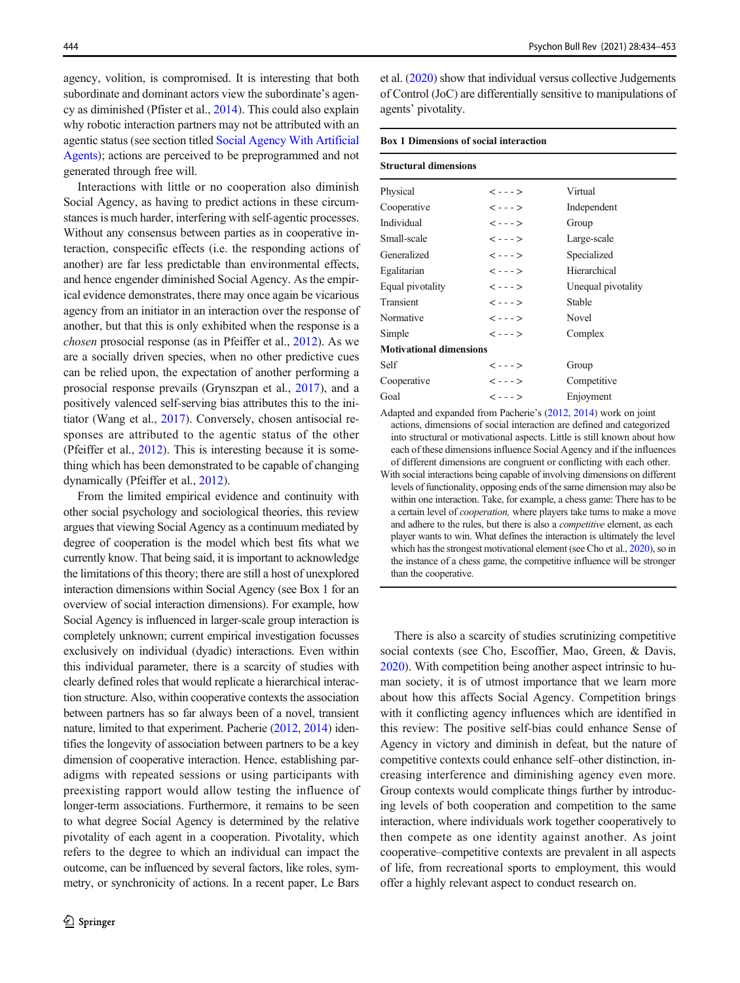agency, volition, is compromised. It is interesting that both subordinate and dominant actors view the subordinate's agency as diminished (Pfister et al., [2014](#page-18-0)). This could also explain why robotic interaction partners may not be attributed with an agentic status (see section titled [Social Agency With Artificial](#page-14-0) [Agents\)](#page-14-0); actions are perceived to be preprogrammed and not generated through free will.

Interactions with little or no cooperation also diminish Social Agency, as having to predict actions in these circumstances is much harder, interfering with self-agentic processes. Without any consensus between parties as in cooperative interaction, conspecific effects (i.e. the responding actions of another) are far less predictable than environmental effects, and hence engender diminished Social Agency. As the empirical evidence demonstrates, there may once again be vicarious agency from an initiator in an interaction over the response of another, but that this is only exhibited when the response is a chosen prosocial response (as in Pfeiffer et al., [2012\)](#page-18-0). As we are a socially driven species, when no other predictive cues can be relied upon, the expectation of another performing a prosocial response prevails (Grynszpan et al., [2017\)](#page-17-0), and a positively valenced self-serving bias attributes this to the initiator (Wang et al., [2017](#page-19-0)). Conversely, chosen antisocial responses are attributed to the agentic status of the other (Pfeiffer et al., [2012](#page-18-0)). This is interesting because it is something which has been demonstrated to be capable of changing dynamically (Pfeiffer et al., [2012\)](#page-18-0).

From the limited empirical evidence and continuity with other social psychology and sociological theories, this review argues that viewing Social Agency as a continuum mediated by degree of cooperation is the model which best fits what we currently know. That being said, it is important to acknowledge the limitations of this theory; there are still a host of unexplored interaction dimensions within Social Agency (see Box 1 for an overview of social interaction dimensions). For example, how Social Agency is influenced in larger-scale group interaction is completely unknown; current empirical investigation focusses exclusively on individual (dyadic) interactions. Even within this individual parameter, there is a scarcity of studies with clearly defined roles that would replicate a hierarchical interaction structure. Also, within cooperative contexts the association between partners has so far always been of a novel, transient nature, limited to that experiment. Pacherie ([2012,](#page-18-0) [2014\)](#page-18-0) identifies the longevity of association between partners to be a key dimension of cooperative interaction. Hence, establishing paradigms with repeated sessions or using participants with preexisting rapport would allow testing the influence of longer-term associations. Furthermore, it remains to be seen to what degree Social Agency is determined by the relative pivotality of each agent in a cooperation. Pivotality, which refers to the degree to which an individual can impact the outcome, can be influenced by several factors, like roles, symmetry, or synchronicity of actions. In a recent paper, Le Bars

et al. ([2020\)](#page-18-0) show that individual versus collective Judgements of Control (JoC) are differentially sensitive to manipulations of agents' pivotality.

#### Box 1 Dimensions of social interaction

#### Structural dimensions

| Physical                       | $\left\langle - - - \right\rangle$ | Virtual            |
|--------------------------------|------------------------------------|--------------------|
| Cooperative                    | $\lt -  >$                         | Independent        |
| Individual                     | $\langle - - - \rangle$            | Group              |
| Small-scale                    | $\lt -  >$                         | Large-scale        |
| Generalized                    | $\lt -  >$                         | Specialized        |
| Egalitarian                    | $\lt -  >$                         | Hierarchical       |
| Equal pivotality               | $\lt -  >$                         | Unequal pivotality |
| Transient                      | $\lt -  >$                         | Stable             |
| Normative                      | $\langle - - - \rangle$            | Novel              |
| Simple                         | $\langle - - - \rangle$            | Complex            |
| <b>Motivational dimensions</b> |                                    |                    |
| Self                           | $\leftarrow - - >$                 | Group              |
| Cooperative                    | $\langle - - - \rangle$            | Competitive        |
| Goal                           | $\langle - - - \rangle$            | Enjoyment          |
|                                |                                    |                    |

Adapted and expanded from Pacherie's [\(2012,](#page-18-0) [2014](#page-18-0)) work on joint actions, dimensions of social interaction are defined and categorized into structural or motivational aspects. Little is still known about how each of these dimensions influence Social Agency and if the influences of different dimensions are congruent or conflicting with each other.

With social interactions being capable of involving dimensions on different levels of functionality, opposing ends of the same dimension may also be within one interaction. Take, for example, a chess game: There has to be a certain level of cooperation, where players take turns to make a move and adhere to the rules, but there is also a *competitive* element, as each player wants to win. What defines the interaction is ultimately the level which has the strongest motivational element (see Cho et al., [2020\)](#page-17-0), so in the instance of a chess game, the competitive influence will be stronger than the cooperative.

There is also a scarcity of studies scrutinizing competitive social contexts (see Cho, Escoffier, Mao, Green, & Davis, [2020\)](#page-17-0). With competition being another aspect intrinsic to human society, it is of utmost importance that we learn more about how this affects Social Agency. Competition brings with it conflicting agency influences which are identified in this review: The positive self-bias could enhance Sense of Agency in victory and diminish in defeat, but the nature of competitive contexts could enhance self–other distinction, increasing interference and diminishing agency even more. Group contexts would complicate things further by introducing levels of both cooperation and competition to the same interaction, where individuals work together cooperatively to then compete as one identity against another. As joint cooperative–competitive contexts are prevalent in all aspects of life, from recreational sports to employment, this would offer a highly relevant aspect to conduct research on.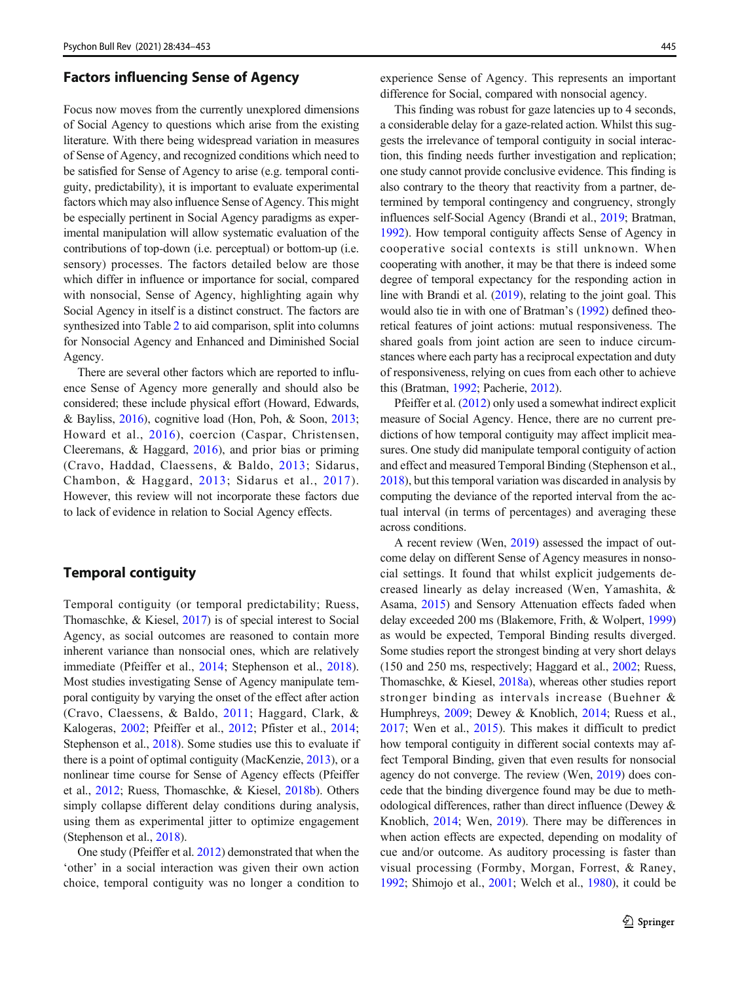## Factors influencing Sense of Agency

Focus now moves from the currently unexplored dimensions of Social Agency to questions which arise from the existing literature. With there being widespread variation in measures of Sense of Agency, and recognized conditions which need to be satisfied for Sense of Agency to arise (e.g. temporal contiguity, predictability), it is important to evaluate experimental factors which may also influence Sense of Agency. This might be especially pertinent in Social Agency paradigms as experimental manipulation will allow systematic evaluation of the contributions of top-down (i.e. perceptual) or bottom-up (i.e. sensory) processes. The factors detailed below are those which differ in influence or importance for social, compared with nonsocial, Sense of Agency, highlighting again why Social Agency in itself is a distinct construct. The factors are synthesized into Table [2](#page-12-0) to aid comparison, split into columns for Nonsocial Agency and Enhanced and Diminished Social Agency.

There are several other factors which are reported to influence Sense of Agency more generally and should also be considered; these include physical effort (Howard, Edwards, & Bayliss, [2016\)](#page-17-0), cognitive load (Hon, Poh, & Soon, [2013](#page-17-0); Howard et al., [2016\)](#page-17-0), coercion (Caspar, Christensen, Cleeremans, & Haggard, [2016\)](#page-16-0), and prior bias or priming (Cravo, Haddad, Claessens, & Baldo, [2013;](#page-17-0) Sidarus, Chambon, & Haggard, [2013;](#page-19-0) Sidarus et al., [2017\)](#page-19-0). However, this review will not incorporate these factors due to lack of evidence in relation to Social Agency effects.

## Temporal contiguity

Temporal contiguity (or temporal predictability; Ruess, Thomaschke, & Kiesel, [2017\)](#page-18-0) is of special interest to Social Agency, as social outcomes are reasoned to contain more inherent variance than nonsocial ones, which are relatively immediate (Pfeiffer et al., [2014](#page-18-0); Stephenson et al., [2018](#page-19-0)). Most studies investigating Sense of Agency manipulate temporal contiguity by varying the onset of the effect after action (Cravo, Claessens, & Baldo, [2011;](#page-17-0) Haggard, Clark, & Kalogeras, [2002](#page-17-0); Pfeiffer et al., [2012;](#page-18-0) Pfister et al., [2014](#page-18-0); Stephenson et al., [2018](#page-19-0)). Some studies use this to evaluate if there is a point of optimal contiguity (MacKenzie, [2013](#page-18-0)), or a nonlinear time course for Sense of Agency effects (Pfeiffer et al., [2012](#page-18-0); Ruess, Thomaschke, & Kiesel, [2018b](#page-18-0)). Others simply collapse different delay conditions during analysis, using them as experimental jitter to optimize engagement (Stephenson et al., [2018](#page-19-0)).

One study (Pfeiffer et al. [2012](#page-18-0)) demonstrated that when the 'other' in a social interaction was given their own action choice, temporal contiguity was no longer a condition to experience Sense of Agency. This represents an important difference for Social, compared with nonsocial agency.

This finding was robust for gaze latencies up to 4 seconds, a considerable delay for a gaze-related action. Whilst this suggests the irrelevance of temporal contiguity in social interaction, this finding needs further investigation and replication; one study cannot provide conclusive evidence. This finding is also contrary to the theory that reactivity from a partner, determined by temporal contingency and congruency, strongly influences self-Social Agency (Brandi et al., [2019;](#page-16-0) Bratman, [1992\)](#page-16-0). How temporal contiguity affects Sense of Agency in cooperative social contexts is still unknown. When cooperating with another, it may be that there is indeed some degree of temporal expectancy for the responding action in line with Brandi et al. [\(2019](#page-16-0)), relating to the joint goal. This would also tie in with one of Bratman's [\(1992\)](#page-16-0) defined theoretical features of joint actions: mutual responsiveness. The shared goals from joint action are seen to induce circumstances where each party has a reciprocal expectation and duty of responsiveness, relying on cues from each other to achieve this (Bratman, [1992;](#page-16-0) Pacherie, [2012\)](#page-18-0).

Pfeiffer et al. [\(2012\)](#page-18-0) only used a somewhat indirect explicit measure of Social Agency. Hence, there are no current predictions of how temporal contiguity may affect implicit measures. One study did manipulate temporal contiguity of action and effect and measured Temporal Binding (Stephenson et al., [2018\)](#page-19-0), but this temporal variation was discarded in analysis by computing the deviance of the reported interval from the actual interval (in terms of percentages) and averaging these across conditions.

A recent review (Wen, [2019\)](#page-19-0) assessed the impact of outcome delay on different Sense of Agency measures in nonsocial settings. It found that whilst explicit judgements decreased linearly as delay increased (Wen, Yamashita, & Asama, [2015](#page-19-0)) and Sensory Attenuation effects faded when delay exceeded 200 ms (Blakemore, Frith, & Wolpert, [1999](#page-16-0)) as would be expected, Temporal Binding results diverged. Some studies report the strongest binding at very short delays (150 and 250 ms, respectively; Haggard et al., [2002;](#page-17-0) Ruess, Thomaschke, & Kiesel, [2018a\)](#page-18-0), whereas other studies report stronger binding as intervals increase (Buehner & Humphreys, [2009](#page-16-0); Dewey & Knoblich, [2014](#page-17-0); Ruess et al., [2017](#page-18-0); Wen et al., [2015](#page-19-0)). This makes it difficult to predict how temporal contiguity in different social contexts may affect Temporal Binding, given that even results for nonsocial agency do not converge. The review (Wen, [2019\)](#page-19-0) does concede that the binding divergence found may be due to methodological differences, rather than direct influence (Dewey & Knoblich, [2014;](#page-17-0) Wen, [2019\)](#page-19-0). There may be differences in when action effects are expected, depending on modality of cue and/or outcome. As auditory processing is faster than visual processing (Formby, Morgan, Forrest, & Raney, [1992;](#page-17-0) Shimojo et al., [2001;](#page-19-0) Welch et al., [1980](#page-19-0)), it could be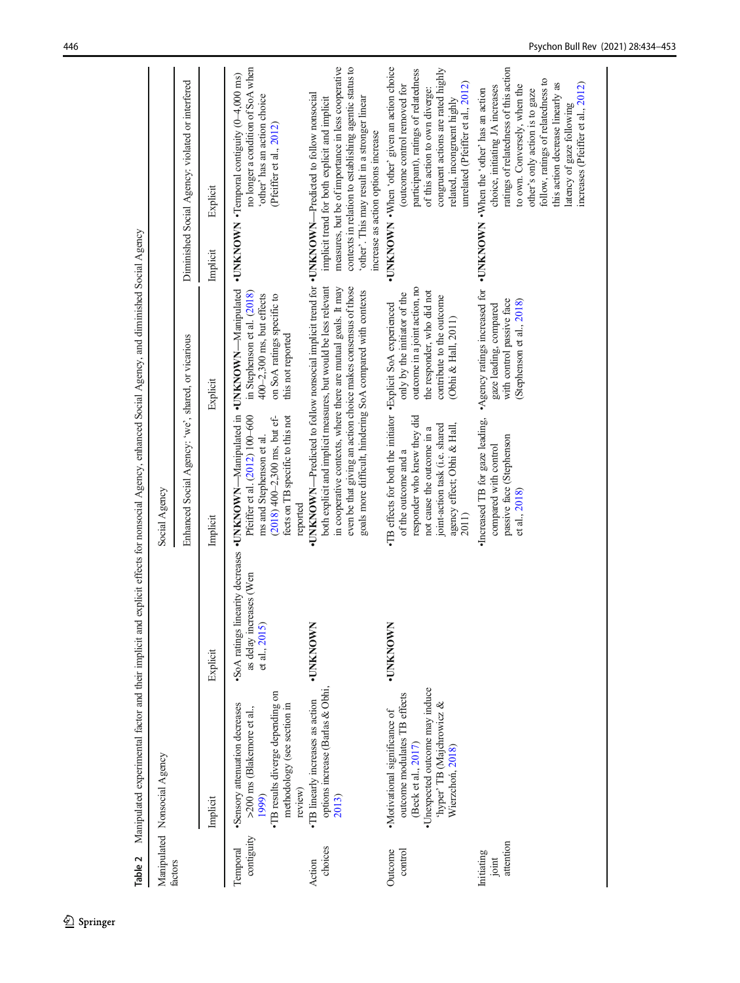<span id="page-12-0"></span>

| Table 2                          | Manipulated experimental factor and their implicit and explicit effects for nonsocial Agency, enhanced Social Agency, and diminished Social Agency                      |                                         |                                                                                                                                                                                                                                |                                                                                                                                                 |                                                                                                                                                                                                                                                                                                                                                           |
|----------------------------------|-------------------------------------------------------------------------------------------------------------------------------------------------------------------------|-----------------------------------------|--------------------------------------------------------------------------------------------------------------------------------------------------------------------------------------------------------------------------------|-------------------------------------------------------------------------------------------------------------------------------------------------|-----------------------------------------------------------------------------------------------------------------------------------------------------------------------------------------------------------------------------------------------------------------------------------------------------------------------------------------------------------|
|                                  | Manipulated Nonsocial Agency                                                                                                                                            |                                         | Social Agency                                                                                                                                                                                                                  |                                                                                                                                                 |                                                                                                                                                                                                                                                                                                                                                           |
| factors                          |                                                                                                                                                                         |                                         | Enhanced Social Agency: 'we', shared, or vicarious                                                                                                                                                                             |                                                                                                                                                 | Diminished Social Agency: violated or interfered                                                                                                                                                                                                                                                                                                          |
|                                  | Implicit                                                                                                                                                                | Explicit                                | Implicit                                                                                                                                                                                                                       | Explicit                                                                                                                                        | Explicit<br>Implicit                                                                                                                                                                                                                                                                                                                                      |
| contiguity<br>Temporal           | •TB results diverge depending on<br>Sensory attenuation decreases<br>methodology (see section in<br>>200 ms (Blakemore et al.,<br>review)<br>1999)                      | as delay increases (Wen<br>et al., 2015 | SoA ratings linearity decreases . UNKNOWN-Manipulated in . UNKNOWN-Manipulated<br>Pfeiffer et al. (2012) 100-600<br>fects on TB specific to this not<br>$(2018)$ 400–2,300 ms, but ef-<br>ms and Stephenson et al.<br>reported | in Stephenson et al. (2018)<br>$400-2,300$ ms, but effects<br>on SoA ratings specific to<br>this not reported                                   | no longer a condition of SoA when<br>• UNKNOWN • Temporal contiguity $(0-4,000 \text{ ms})$<br>'other' has an action choice<br>(Pfeiffer et al., 2012)                                                                                                                                                                                                    |
| choices<br>Action                | options increase (Barlas & Obhi,<br>•TB linearly increases as action<br>2013)                                                                                           | <b>UNKNOWN</b>                          | both explicit and implicit measures, but would be less relevant<br>even be that giving an action choice makes consensus of those<br>goals more difficult, hindering SoA compared with contexts                                 | in cooperative contexts, where there are mutual goals. It may                                                                                   | measures, but be of importance in less cooperative<br>contexts in relation to establishing agentic status to<br>•UNKNOWN—Predicted to follow nonsocial implicit trend for •UNKNOWN—Predicted to follow nonsocial<br>'other'. This may result in a stronger linear<br>implicit trend for both explicit and implicit<br>increase as action options increase |
| Outcome<br>control               | •Unexpected outcome may induce<br>outcome modulates TB effects<br>'hyper' TB (Majchrowicz &<br>•Motivational significance of<br>(Beck et al., 2017)<br>Wierzchoń, 2018) | <b>UNKNOWN</b>                          | •TB effects for both the initiator •Explicit SoA experienced<br>responder who knew they did<br>joint-action task (i.e. shared<br>agency effect; Obhi & Hall,<br>not cause the outcome in a<br>of the outcome and a<br>2011)    | outcome in a joint action, no<br>the responder, who did not<br>only by the initiator of the<br>contribute to the outcome<br>(Obhi & Hall, 2011) | •UNKNOWN • When 'other' given an action choice<br>congruent actions are rated highly<br>participant), ratings of relatedness<br>unrelated (Pfeiffer et al., 2012)<br>(outcome control removed for<br>of this action to own diverge:<br>related, incongruent highly                                                                                        |
| attention<br>Initiating<br>joint |                                                                                                                                                                         |                                         | ·Increased TB for gaze leading,<br>passive face (Stephenson<br>compared with control<br>et al., 2018)                                                                                                                          | Agency ratings increased for<br>with control passive face<br>(Stephenson et al., 2018)<br>gaze leading, compared                                | ratings of relatedness of this action<br>follow, ratings of relatedness to<br>this action decrease linearly as<br>increases (Pfeiffer et al., 2012)<br>to own. Conversely, when the<br>choice, initiating JA increases<br>•UNKNOWN •When the 'other' has an action<br>other's only action is to gaze<br>latency of gaze following                         |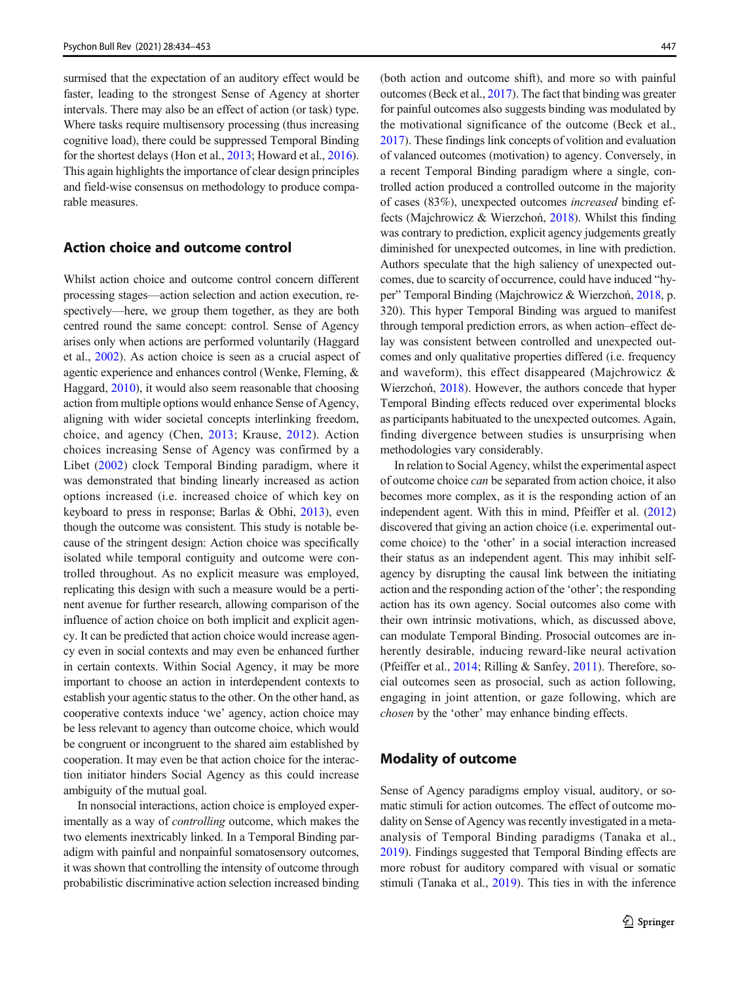surmised that the expectation of an auditory effect would be faster, leading to the strongest Sense of Agency at shorter intervals. There may also be an effect of action (or task) type. Where tasks require multisensory processing (thus increasing cognitive load), there could be suppressed Temporal Binding for the shortest delays (Hon et al., [2013](#page-17-0); Howard et al., [2016\)](#page-17-0). This again highlights the importance of clear design principles and field-wise consensus on methodology to produce comparable measures.

## Action choice and outcome control

Whilst action choice and outcome control concern different processing stages—action selection and action execution, respectively—here, we group them together, as they are both centred round the same concept: control. Sense of Agency arises only when actions are performed voluntarily (Haggard et al., [2002\)](#page-17-0). As action choice is seen as a crucial aspect of agentic experience and enhances control (Wenke, Fleming, & Haggard, [2010](#page-19-0)), it would also seem reasonable that choosing action from multiple options would enhance Sense of Agency, aligning with wider societal concepts interlinking freedom, choice, and agency (Chen, [2013](#page-16-0); Krause, [2012](#page-18-0)). Action choices increasing Sense of Agency was confirmed by a Libet [\(2002](#page-18-0)) clock Temporal Binding paradigm, where it was demonstrated that binding linearly increased as action options increased (i.e. increased choice of which key on keyboard to press in response; Barlas & Obhi, [2013\)](#page-16-0), even though the outcome was consistent. This study is notable because of the stringent design: Action choice was specifically isolated while temporal contiguity and outcome were controlled throughout. As no explicit measure was employed, replicating this design with such a measure would be a pertinent avenue for further research, allowing comparison of the influence of action choice on both implicit and explicit agency. It can be predicted that action choice would increase agency even in social contexts and may even be enhanced further in certain contexts. Within Social Agency, it may be more important to choose an action in interdependent contexts to establish your agentic status to the other. On the other hand, as cooperative contexts induce 'we' agency, action choice may be less relevant to agency than outcome choice, which would be congruent or incongruent to the shared aim established by cooperation. It may even be that action choice for the interaction initiator hinders Social Agency as this could increase ambiguity of the mutual goal.

In nonsocial interactions, action choice is employed experimentally as a way of controlling outcome, which makes the two elements inextricably linked. In a Temporal Binding paradigm with painful and nonpainful somatosensory outcomes, it was shown that controlling the intensity of outcome through probabilistic discriminative action selection increased binding

(both action and outcome shift), and more so with painful outcomes (Beck et al., [2017](#page-16-0)). The fact that binding was greater for painful outcomes also suggests binding was modulated by the motivational significance of the outcome (Beck et al., [2017\)](#page-16-0). These findings link concepts of volition and evaluation of valanced outcomes (motivation) to agency. Conversely, in a recent Temporal Binding paradigm where a single, controlled action produced a controlled outcome in the majority of cases (83%), unexpected outcomes increased binding effects (Majchrowicz & Wierzchoń, [2018](#page-18-0)). Whilst this finding was contrary to prediction, explicit agency judgements greatly diminished for unexpected outcomes, in line with prediction. Authors speculate that the high saliency of unexpected outcomes, due to scarcity of occurrence, could have induced "hyper" Temporal Binding (Majchrowicz & Wierzchoń, [2018](#page-18-0), p. 320). This hyper Temporal Binding was argued to manifest through temporal prediction errors, as when action–effect delay was consistent between controlled and unexpected outcomes and only qualitative properties differed (i.e. frequency and waveform), this effect disappeared (Majchrowicz & Wierzchoń, [2018\)](#page-18-0). However, the authors concede that hyper Temporal Binding effects reduced over experimental blocks as participants habituated to the unexpected outcomes. Again, finding divergence between studies is unsurprising when methodologies vary considerably.

In relation to Social Agency, whilst the experimental aspect of outcome choice can be separated from action choice, it also becomes more complex, as it is the responding action of an independent agent. With this in mind, Pfeiffer et al. [\(2012](#page-18-0)) discovered that giving an action choice (i.e. experimental outcome choice) to the 'other' in a social interaction increased their status as an independent agent. This may inhibit selfagency by disrupting the causal link between the initiating action and the responding action of the 'other'; the responding action has its own agency. Social outcomes also come with their own intrinsic motivations, which, as discussed above, can modulate Temporal Binding. Prosocial outcomes are inherently desirable, inducing reward-like neural activation (Pfeiffer et al., [2014;](#page-18-0) Rilling & Sanfey, [2011](#page-18-0)). Therefore, social outcomes seen as prosocial, such as action following, engaging in joint attention, or gaze following, which are chosen by the 'other' may enhance binding effects.

## Modality of outcome

Sense of Agency paradigms employ visual, auditory, or somatic stimuli for action outcomes. The effect of outcome modality on Sense of Agency was recently investigated in a metaanalysis of Temporal Binding paradigms (Tanaka et al., [2019\)](#page-19-0). Findings suggested that Temporal Binding effects are more robust for auditory compared with visual or somatic stimuli (Tanaka et al., [2019\)](#page-19-0). This ties in with the inference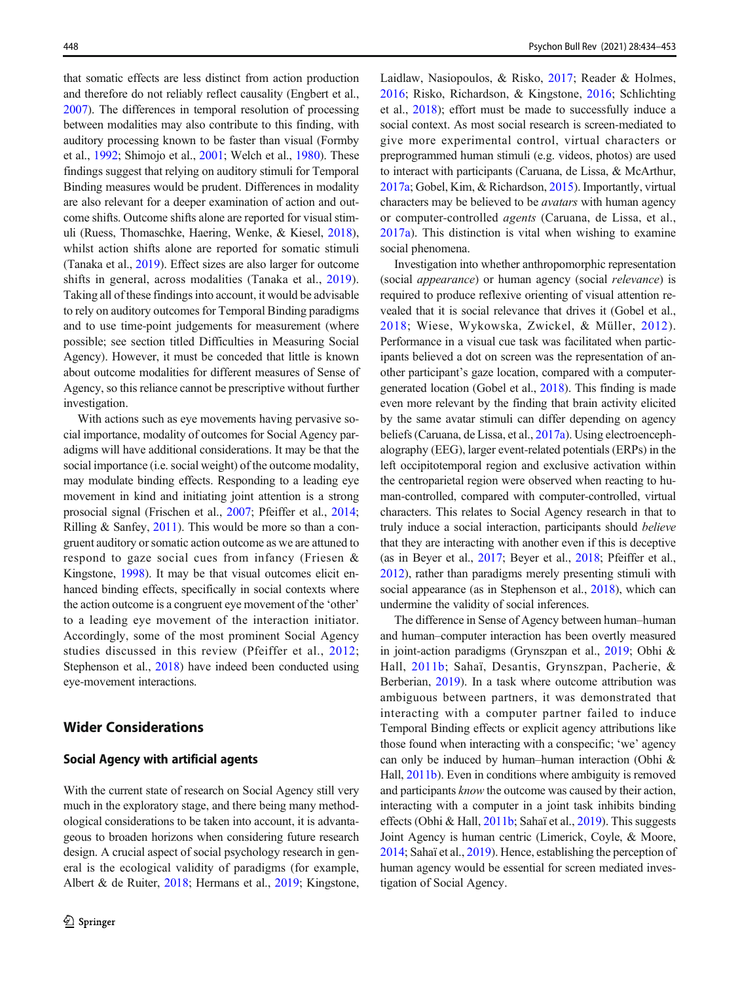<span id="page-14-0"></span>that somatic effects are less distinct from action production and therefore do not reliably reflect causality (Engbert et al., [2007\)](#page-17-0). The differences in temporal resolution of processing between modalities may also contribute to this finding, with auditory processing known to be faster than visual (Formby et al., [1992;](#page-17-0) Shimojo et al., [2001;](#page-19-0) Welch et al., [1980](#page-19-0)). These findings suggest that relying on auditory stimuli for Temporal Binding measures would be prudent. Differences in modality are also relevant for a deeper examination of action and outcome shifts. Outcome shifts alone are reported for visual stimuli (Ruess, Thomaschke, Haering, Wenke, & Kiesel, [2018\)](#page-18-0), whilst action shifts alone are reported for somatic stimuli (Tanaka et al., [2019\)](#page-19-0). Effect sizes are also larger for outcome shifts in general, across modalities (Tanaka et al., [2019](#page-19-0)). Taking all of these findings into account, it would be advisable to rely on auditory outcomes for Temporal Binding paradigms and to use time-point judgements for measurement (where possible; see section titled Difficulties in Measuring Social Agency). However, it must be conceded that little is known about outcome modalities for different measures of Sense of Agency, so this reliance cannot be prescriptive without further investigation.

With actions such as eye movements having pervasive social importance, modality of outcomes for Social Agency paradigms will have additional considerations. It may be that the social importance (i.e. social weight) of the outcome modality, may modulate binding effects. Responding to a leading eye movement in kind and initiating joint attention is a strong prosocial signal (Frischen et al., [2007](#page-17-0); Pfeiffer et al., [2014](#page-18-0); Rilling & Sanfey, [2011\)](#page-18-0). This would be more so than a congruent auditory or somatic action outcome as we are attuned to respond to gaze social cues from infancy (Friesen & Kingstone, [1998\)](#page-17-0). It may be that visual outcomes elicit enhanced binding effects, specifically in social contexts where the action outcome is a congruent eye movement of the 'other' to a leading eye movement of the interaction initiator. Accordingly, some of the most prominent Social Agency studies discussed in this review (Pfeiffer et al., [2012](#page-18-0); Stephenson et al., [2018\)](#page-19-0) have indeed been conducted using eye-movement interactions.

## Wider Considerations

## Social Agency with artificial agents

With the current state of research on Social Agency still very much in the exploratory stage, and there being many methodological considerations to be taken into account, it is advantageous to broaden horizons when considering future research design. A crucial aspect of social psychology research in general is the ecological validity of paradigms (for example, Albert & de Ruiter, [2018;](#page-16-0) Hermans et al., [2019;](#page-17-0) Kingstone, Laidlaw, Nasiopoulos, & Risko, [2017](#page-17-0); Reader & Holmes, [2016](#page-18-0); Risko, Richardson, & Kingstone, [2016;](#page-18-0) Schlichting et al., [2018](#page-19-0)); effort must be made to successfully induce a social context. As most social research is screen-mediated to give more experimental control, virtual characters or preprogrammed human stimuli (e.g. videos, photos) are used to interact with participants (Caruana, de Lissa, & McArthur, [2017a;](#page-16-0) Gobel, Kim, & Richardson, [2015\)](#page-17-0). Importantly, virtual characters may be believed to be avatars with human agency or computer-controlled agents (Caruana, de Lissa, et al., [2017a\)](#page-16-0). This distinction is vital when wishing to examine social phenomena.

Investigation into whether anthropomorphic representation (social appearance) or human agency (social relevance) is required to produce reflexive orienting of visual attention revealed that it is social relevance that drives it (Gobel et al., [2018;](#page-17-0) Wiese, Wykowska, Zwickel, & Müller, [2012](#page-19-0)). Performance in a visual cue task was facilitated when participants believed a dot on screen was the representation of another participant's gaze location, compared with a computergenerated location (Gobel et al., [2018](#page-17-0)). This finding is made even more relevant by the finding that brain activity elicited by the same avatar stimuli can differ depending on agency beliefs (Caruana, de Lissa, et al., [2017a](#page-16-0)). Using electroencephalography (EEG), larger event-related potentials (ERPs) in the left occipitotemporal region and exclusive activation within the centroparietal region were observed when reacting to human-controlled, compared with computer-controlled, virtual characters. This relates to Social Agency research in that to truly induce a social interaction, participants should believe that they are interacting with another even if this is deceptive (as in Beyer et al., [2017](#page-16-0); Beyer et al., [2018;](#page-16-0) Pfeiffer et al., [2012\)](#page-18-0), rather than paradigms merely presenting stimuli with social appearance (as in Stephenson et al., [2018](#page-19-0)), which can undermine the validity of social inferences.

The difference in Sense of Agency between human–human and human–computer interaction has been overtly measured in joint-action paradigms (Grynszpan et al., [2019;](#page-17-0) Obhi & Hall, [2011b](#page-18-0); Sahaï, Desantis, Grynszpan, Pacherie, & Berberian, [2019\)](#page-18-0). In a task where outcome attribution was ambiguous between partners, it was demonstrated that interacting with a computer partner failed to induce Temporal Binding effects or explicit agency attributions like those found when interacting with a conspecific; 'we' agency can only be induced by human–human interaction (Obhi & Hall, [2011b\)](#page-18-0). Even in conditions where ambiguity is removed and participants know the outcome was caused by their action, interacting with a computer in a joint task inhibits binding effects (Obhi & Hall, [2011b;](#page-18-0) Sahaï et al., [2019](#page-18-0)). This suggests Joint Agency is human centric (Limerick, Coyle, & Moore, [2014;](#page-18-0) Sahaï et al., [2019](#page-18-0)). Hence, establishing the perception of human agency would be essential for screen mediated investigation of Social Agency.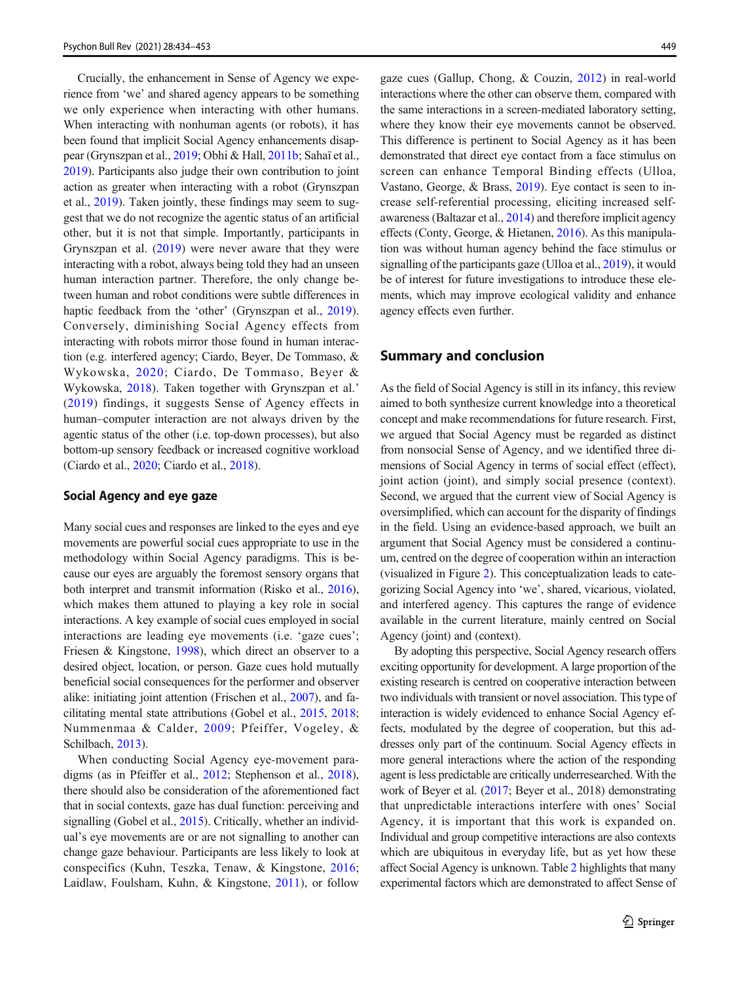Crucially, the enhancement in Sense of Agency we experience from 'we' and shared agency appears to be something we only experience when interacting with other humans. When interacting with nonhuman agents (or robots), it has been found that implicit Social Agency enhancements disappear (Grynszpan et al., [2019](#page-17-0); Obhi & Hall, [2011b](#page-18-0); Sahaï et al., [2019\)](#page-18-0). Participants also judge their own contribution to joint action as greater when interacting with a robot (Grynszpan et al., [2019](#page-17-0)). Taken jointly, these findings may seem to suggest that we do not recognize the agentic status of an artificial other, but it is not that simple. Importantly, participants in Grynszpan et al. ([2019](#page-17-0)) were never aware that they were interacting with a robot, always being told they had an unseen human interaction partner. Therefore, the only change between human and robot conditions were subtle differences in haptic feedback from the 'other' (Grynszpan et al., [2019](#page-17-0)). Conversely, diminishing Social Agency effects from interacting with robots mirror those found in human interaction (e.g. interfered agency; Ciardo, Beyer, De Tommaso, & Wykowska, [2020](#page-17-0); Ciardo, De Tommaso, Beyer & Wykowska, [2018](#page-17-0)). Taken together with Grynszpan et al.' [\(2019](#page-17-0)) findings, it suggests Sense of Agency effects in human–computer interaction are not always driven by the agentic status of the other (i.e. top-down processes), but also bottom-up sensory feedback or increased cognitive workload (Ciardo et al., [2020;](#page-17-0) Ciardo et al., [2018](#page-17-0)).

### Social Agency and eye gaze

Many social cues and responses are linked to the eyes and eye movements are powerful social cues appropriate to use in the methodology within Social Agency paradigms. This is because our eyes are arguably the foremost sensory organs that both interpret and transmit information (Risko et al., [2016\)](#page-18-0), which makes them attuned to playing a key role in social interactions. A key example of social cues employed in social interactions are leading eye movements (i.e. 'gaze cues'; Friesen & Kingstone, [1998\)](#page-17-0), which direct an observer to a desired object, location, or person. Gaze cues hold mutually beneficial social consequences for the performer and observer alike: initiating joint attention (Frischen et al., [2007](#page-17-0)), and facilitating mental state attributions (Gobel et al., [2015](#page-17-0), [2018](#page-17-0); Nummenmaa & Calder, [2009](#page-18-0); Pfeiffer, Vogeley, & Schilbach, [2013\)](#page-18-0).

When conducting Social Agency eye-movement paradigms (as in Pfeiffer et al., [2012](#page-18-0); Stephenson et al., [2018](#page-19-0)), there should also be consideration of the aforementioned fact that in social contexts, gaze has dual function: perceiving and signalling (Gobel et al., [2015](#page-17-0)). Critically, whether an individual's eye movements are or are not signalling to another can change gaze behaviour. Participants are less likely to look at conspecifics (Kuhn, Teszka, Tenaw, & Kingstone, [2016](#page-18-0); Laidlaw, Foulsham, Kuhn, & Kingstone, [2011\)](#page-18-0), or follow gaze cues (Gallup, Chong, & Couzin, [2012\)](#page-17-0) in real-world interactions where the other can observe them, compared with the same interactions in a screen-mediated laboratory setting, where they know their eye movements cannot be observed. This difference is pertinent to Social Agency as it has been demonstrated that direct eye contact from a face stimulus on screen can enhance Temporal Binding effects (Ulloa, Vastano, George, & Brass, [2019\)](#page-19-0). Eye contact is seen to increase self-referential processing, eliciting increased selfawareness (Baltazar et al., [2014](#page-16-0)) and therefore implicit agency effects (Conty, George, & Hietanen, [2016\)](#page-17-0). As this manipulation was without human agency behind the face stimulus or signalling of the participants gaze (Ulloa et al., [2019](#page-19-0)), it would be of interest for future investigations to introduce these elements, which may improve ecological validity and enhance agency effects even further.

## Summary and conclusion

As the field of Social Agency is still in its infancy, this review aimed to both synthesize current knowledge into a theoretical concept and make recommendations for future research. First, we argued that Social Agency must be regarded as distinct from nonsocial Sense of Agency, and we identified three dimensions of Social Agency in terms of social effect (effect), joint action (joint), and simply social presence (context). Second, we argued that the current view of Social Agency is oversimplified, which can account for the disparity of findings in the field. Using an evidence-based approach, we built an argument that Social Agency must be considered a continuum, centred on the degree of cooperation within an interaction (visualized in Figure [2](#page-9-0)). This conceptualization leads to categorizing Social Agency into 'we', shared, vicarious, violated, and interfered agency. This captures the range of evidence available in the current literature, mainly centred on Social Agency (joint) and (context).

By adopting this perspective, Social Agency research offers exciting opportunity for development. A large proportion of the existing research is centred on cooperative interaction between two individuals with transient or novel association. This type of interaction is widely evidenced to enhance Social Agency effects, modulated by the degree of cooperation, but this addresses only part of the continuum. Social Agency effects in more general interactions where the action of the responding agent is less predictable are critically underresearched. With the work of Beyer et al. [\(2017](#page-16-0); Beyer et al., 2018) demonstrating that unpredictable interactions interfere with ones' Social Agency, it is important that this work is expanded on. Individual and group competitive interactions are also contexts which are ubiquitous in everyday life, but as yet how these affect Social Agency is unknown. Table [2](#page-12-0) highlights that many experimental factors which are demonstrated to affect Sense of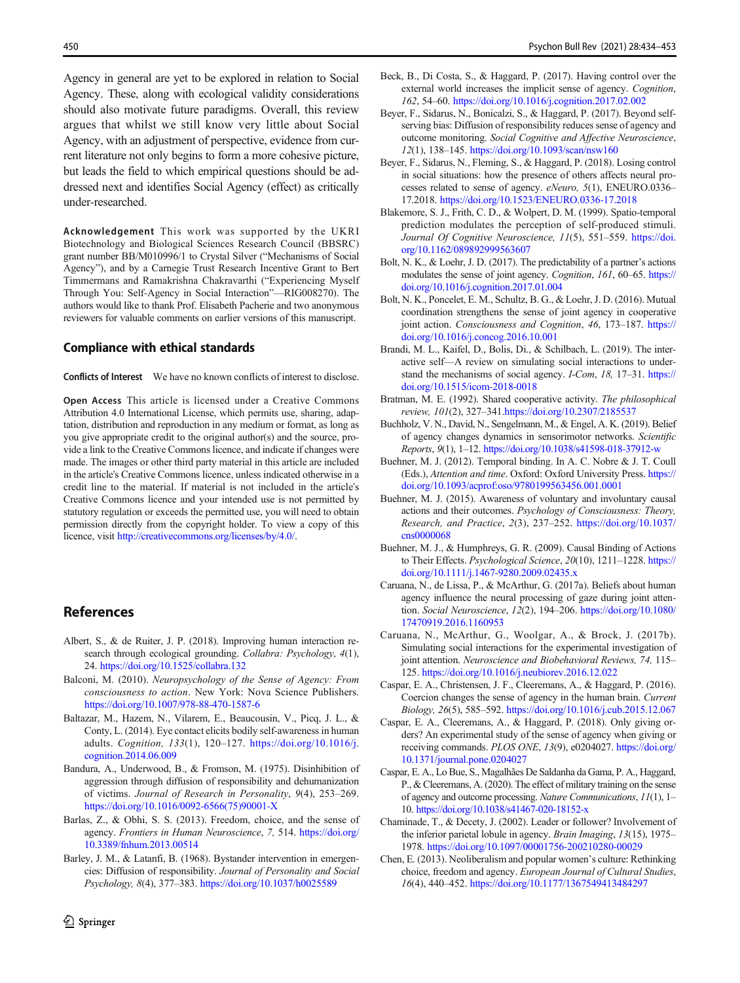<span id="page-16-0"></span>Agency in general are yet to be explored in relation to Social Agency. These, along with ecological validity considerations should also motivate future paradigms. Overall, this review argues that whilst we still know very little about Social Agency, with an adjustment of perspective, evidence from current literature not only begins to form a more cohesive picture, but leads the field to which empirical questions should be addressed next and identifies Social Agency (effect) as critically under-researched.

Acknowledgement This work was supported by the UKRI Biotechnology and Biological Sciences Research Council (BBSRC) grant number BB/M010996/1 to Crystal Silver ("Mechanisms of Social Agency"), and by a Carnegie Trust Research Incentive Grant to Bert Timmermans and Ramakrishna Chakravarthi ("Experiencing Myself Through You: Self-Agency in Social Interaction"—RIG008270). The authors would like to thank Prof. Elisabeth Pacherie and two anonymous reviewers for valuable comments on earlier versions of this manuscript.

### Compliance with ethical standards

Conflicts of Interest We have no known conflicts of interest to disclose.

Open Access This article is licensed under a Creative Commons Attribution 4.0 International License, which permits use, sharing, adaptation, distribution and reproduction in any medium or format, as long as you give appropriate credit to the original author(s) and the source, provide a link to the Creative Commons licence, and indicate if changes were made. The images or other third party material in this article are included in the article's Creative Commons licence, unless indicated otherwise in a credit line to the material. If material is not included in the article's Creative Commons licence and your intended use is not permitted by statutory regulation or exceeds the permitted use, you will need to obtain permission directly from the copyright holder. To view a copy of this licence, visit [http://creativecommons.org/licenses/by/4.0/](https://doi.org/).

## References

- Albert, S., & de Ruiter, J. P. (2018). Improving human interaction research through ecological grounding. Collabra: Psychology, 4(1), 24. <https://doi.org/10.1525/collabra.132>
- Balconi, M. (2010). Neuropsychology of the Sense of Agency: From consciousness to action. New York: Nova Science Publishers. <https://doi.org/10.1007/978-88-470-1587-6>
- Baltazar, M., Hazem, N., Vilarem, E., Beaucousin, V., Picq, J. L., & Conty, L. (2014). Eye contact elicits bodily self-awareness in human adults. Cognition, 133(1), 120–127. [https://doi.org/10.1016/j.](https://doi.org/10.1016/j.cognition.2014.06.009) [cognition.2014.06.009](https://doi.org/10.1016/j.cognition.2014.06.009)
- Bandura, A., Underwood, B., & Fromson, M. (1975). Disinhibition of aggression through diffusion of responsibility and dehumanization of victims. Journal of Research in Personality, 9(4), 253–269. [https://doi.org/10.1016/0092-6566\(75\)90001-X](https://doi.org/10.1016/0092-6566(75)90001-X)
- Barlas, Z., & Obhi, S. S. (2013). Freedom, choice, and the sense of agency. Frontiers in Human Neuroscience, 7, 514. [https://doi.org/](https://doi.org/10.3389/fnhum.2013.00514) [10.3389/fnhum.2013.00514](https://doi.org/10.3389/fnhum.2013.00514)
- Barley, J. M., & Latanfi, B. (1968). Bystander intervention in emergencies: Diffusion of responsibility. Journal of Personality and Social Psychology, 8(4), 377–383. <https://doi.org/10.1037/h0025589>
- Beck, B., Di Costa, S., & Haggard, P. (2017). Having control over the external world increases the implicit sense of agency. Cognition, 162, 54–60. <https://doi.org/10.1016/j.cognition.2017.02.002>
- Beyer, F., Sidarus, N., Bonicalzi, S., & Haggard, P. (2017). Beyond selfserving bias: Diffusion of responsibility reduces sense of agency and outcome monitoring. Social Cognitive and Affective Neuroscience, 12(1), 138–145. <https://doi.org/10.1093/scan/nsw160>
- Beyer, F., Sidarus, N., Fleming, S., & Haggard, P. (2018). Losing control in social situations: how the presence of others affects neural processes related to sense of agency. eNeuro, 5(1), ENEURO.0336– 17.2018. [https://doi.org/10.1523/ENEURO.0336-17.2018](https://doi.org/10.1523/ENEURO.03362018)
- Blakemore, S. J., Frith, C. D., & Wolpert, D. M. (1999). Spatio-temporal prediction modulates the perception of self-produced stimuli. Journal Of Cognitive Neuroscience, 11(5), 551-559. [https://doi.](https://doi.org/10.1162/089892999563607) [org/10.1162/089892999563607](https://doi.org/10.1162/089892999563607)
- Bolt, N. K., & Loehr, J. D. (2017). The predictability of a partner's actions modulates the sense of joint agency. *Cognition*, 161, 60–65. [https://](https://doi.org/10.1016/j.cognition.2017.01.004) [doi.org/10.1016/j.cognition.2017.01.004](https://doi.org/10.1016/j.cognition.2017.01.004)
- Bolt, N. K., Poncelet, E. M., Schultz, B. G., & Loehr, J. D. (2016). Mutual coordination strengthens the sense of joint agency in cooperative joint action. Consciousness and Cognition, 46, 173-187. [https://](https://doi.org/10.1016/j.concog.2016.10.001) [doi.org/10.1016/j.concog.2016.10.001](https://doi.org/10.1016/j.concog.2016.10.001)
- Brandi, M. L., Kaifel, D., Bolis, Di., & Schilbach, L. (2019). The interactive self—A review on simulating social interactions to understand the mechanisms of social agency. I-Com, 18, 17–31. [https://](https://doi.org/10.1515/icom-2018-0018) [doi.org/10.1515/icom-2018-0018](https://doi.org/10.1515/icom-2018-0018)
- Bratman, M. E. (1992). Shared cooperative activity. The philosophical review, 101(2), 327–341[.https://doi.org/10.2307/2185537](https://doi.org/10.2307/2185537)
- Buchholz, V. N., David, N., Sengelmann, M., & Engel, A. K. (2019). Belief of agency changes dynamics in sensorimotor networks. Scientific Reports, 9(1), 1–12. <https://doi.org/10.1038/s41598-018-37912-w>
- Buehner, M. J. (2012). Temporal binding. In A. C. Nobre & J. T. Coull (Eds.), Attention and time. Oxford: Oxford University Press. [https://](https://doi.org/10.1093/acprof:oso/9780199563456.001.0001) [doi.org/10.1093/acprof:oso/9780199563456.001.0001](https://doi.org/10.1093/acprof:oso/9780199563456.001.0001)
- Buehner, M. J. (2015). Awareness of voluntary and involuntary causal actions and their outcomes. Psychology of Consciousness: Theory, Research, and Practice, 2(3), 237–252. [https://doi.org/10.1037/](https://doi.org/10.1037/cns0000068) [cns0000068](https://doi.org/10.1037/cns0000068)
- Buehner, M. J., & Humphreys, G. R. (2009). Causal Binding of Actions to Their Effects. Psychological Science, 20(10), 1211-1228. [https://](https://doi.org/10.1111/j.1467-9280.2009.02435.x) [doi.org/10.1111/j.1467-9280.2009.02435.x](https://doi.org/10.1111/j.1467-9280.2009.02435.x)
- Caruana, N., de Lissa, P., & McArthur, G. (2017a). Beliefs about human agency influence the neural processing of gaze during joint attention. Social Neuroscience, 12(2), 194–206. [https://doi.org/10.1080/](https://doi.org/10.1080/17470919.2016.1160953) [17470919.2016.1160953](https://doi.org/10.1080/17470919.2016.1160953)
- Caruana, N., McArthur, G., Woolgar, A., & Brock, J. (2017b). Simulating social interactions for the experimental investigation of joint attention. Neuroscience and Biobehavioral Reviews, 74, 115– 125. <https://doi.org/10.1016/j.neubiorev.2016.12.022>
- Caspar, E. A., Christensen, J. F., Cleeremans, A., & Haggard, P. (2016). Coercion changes the sense of agency in the human brain. Current Biology, 26(5), 585–592. <https://doi.org/10.1016/j.cub.2015.12.067>
- Caspar, E. A., Cleeremans, A., & Haggard, P. (2018). Only giving orders? An experimental study of the sense of agency when giving or receiving commands. PLOS ONE, 13(9), e0204027. [https://doi.org/](https://doi.org/10.1371/journal.pone.0204027) [10.1371/journal.pone.0204027](https://doi.org/10.1371/journal.pone.0204027)
- Caspar, E. A., Lo Bue, S., Magalhães De Saldanha da Gama, P. A., Haggard, P., & Cleeremans, A. (2020). The effect of military training on the sense of agency and outcome processing. Nature Communications, 11(1), 1– 10. <https://doi.org/10.1038/s41467-020-18152-x>
- Chaminade, T., & Decety, J. (2002). Leader or follower? Involvement of the inferior parietal lobule in agency. Brain Imaging, 13(15), 1975– 1978. <https://doi.org/10.1097/00001756-200210280-00029>
- Chen, E. (2013). Neoliberalism and popular women's culture: Rethinking choice, freedom and agency. European Journal of Cultural Studies, 16(4), 440–452. <https://doi.org/10.1177/1367549413484297>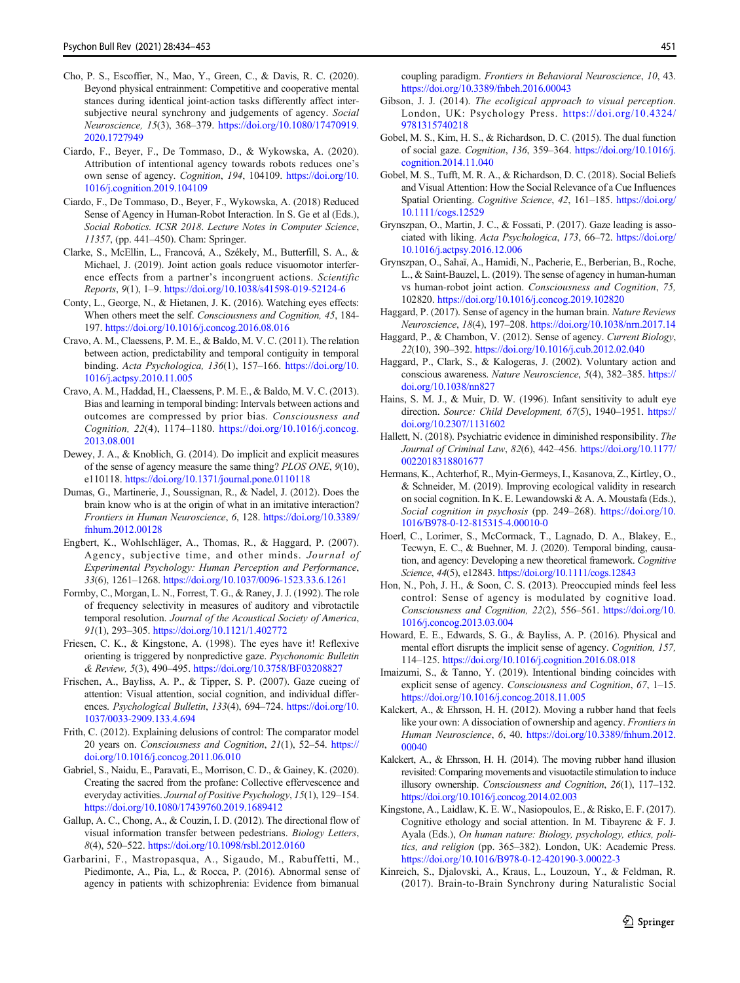- <span id="page-17-0"></span>Cho, P. S., Escoffier, N., Mao, Y., Green, C., & Davis, R. C. (2020). Beyond physical entrainment: Competitive and cooperative mental stances during identical joint-action tasks differently affect intersubjective neural synchrony and judgements of agency. Social Neuroscience, 15(3), 368–379. [https://doi.org/10.1080/17470919.](https://doi.org/10.1080/17470919.2020.1727949) [2020.1727949](https://doi.org/10.1080/17470919.2020.1727949)
- Ciardo, F., Beyer, F., De Tommaso, D., & Wykowska, A. (2020). Attribution of intentional agency towards robots reduces one's own sense of agency. Cognition, 194, 104109. [https://doi.org/10.](https://doi.org/10.1016/j.cognition.2019.104109) [1016/j.cognition.2019.104109](https://doi.org/10.1016/j.cognition.2019.104109)
- Ciardo, F., De Tommaso, D., Beyer, F., Wykowska, A. (2018) Reduced Sense of Agency in Human-Robot Interaction. In S. Ge et al (Eds.), Social Robotics. ICSR 2018. Lecture Notes in Computer Science, 11357, (pp. 441–450). Cham: Springer.
- Clarke, S., McEllin, L., Francová, A., Székely, M., Butterfill, S. A., & Michael, J. (2019). Joint action goals reduce visuomotor interference effects from a partner's incongruent actions. Scientific Reports, 9(1), 1–9. <https://doi.org/10.1038/s41598-019-52124-6>
- Conty, L., George, N., & Hietanen, J. K. (2016). Watching eyes effects: When others meet the self. Consciousness and Cognition, 45, 184- 197. <https://doi.org/10.1016/j.concog.2016.08.016>
- Cravo, A. M., Claessens, P. M. E., & Baldo, M. V. C. (2011). The relation between action, predictability and temporal contiguity in temporal binding. Acta Psychologica, 136(1), 157-166. [https://doi.org/10.](https://doi.org/10.1016/j.actpsy.2010.11.005) [1016/j.actpsy.2010.11.005](https://doi.org/10.1016/j.actpsy.2010.11.005)
- Cravo, A. M., Haddad, H., Claessens, P. M. E., & Baldo, M. V. C. (2013). Bias and learning in temporal binding: Intervals between actions and outcomes are compressed by prior bias. Consciousness and Cognition, 22(4), 1174–1180. [https://doi.org/10.1016/j.concog.](https://doi.org/10.1016/j.concog.2013.08.001) [2013.08.001](https://doi.org/10.1016/j.concog.2013.08.001)
- Dewey, J. A., & Knoblich, G. (2014). Do implicit and explicit measures of the sense of agency measure the same thing? PLOS ONE, 9(10), e110118. <https://doi.org/10.1371/journal.pone.0110118>
- Dumas, G., Martinerie, J., Soussignan, R., & Nadel, J. (2012). Does the brain know who is at the origin of what in an imitative interaction? Frontiers in Human Neuroscience, 6, 128. [https://doi.org/10.3389/](https://doi.org/10.3389/fnhum.2012.00128) [fnhum.2012.00128](https://doi.org/10.3389/fnhum.2012.00128)
- Engbert, K., Wohlschläger, A., Thomas, R., & Haggard, P. (2007). Agency, subjective time, and other minds. Journal of Experimental Psychology: Human Perception and Performance, 33(6), 1261–1268. <https://doi.org/10.1037/0096-1523.33.6.1261>
- Formby, C., Morgan, L. N., Forrest, T. G., & Raney, J. J. (1992). The role of frequency selectivity in measures of auditory and vibrotactile temporal resolution. Journal of the Acoustical Society of America, 91(1), 293–305. <https://doi.org/10.1121/1.402772>
- Friesen, C. K., & Kingstone, A. (1998). The eyes have it! Reflexive orienting is triggered by nonpredictive gaze. Psychonomic Bulletin & Review, 5(3), 490–495. <https://doi.org/10.3758/BF03208827>
- Frischen, A., Bayliss, A. P., & Tipper, S. P. (2007). Gaze cueing of attention: Visual attention, social cognition, and individual differences. Psychological Bulletin, 133(4), 694–724. [https://doi.org/10.](https://doi.org/10.1037/0033-2909.133.4.694) [1037/0033-2909.133.4.694](https://doi.org/10.1037/0033-2909.133.4.694)
- Frith, C. (2012). Explaining delusions of control: The comparator model 20 years on. Consciousness and Cognition, 21(1), 52–54. [https://](https://doi.org/10.1016/j.concog.2011.06.010) [doi.org/10.1016/j.concog.2011.06.010](https://doi.org/10.1016/j.concog.2011.06.010)
- Gabriel, S., Naidu, E., Paravati, E., Morrison, C. D., & Gainey, K. (2020). Creating the sacred from the profane: Collective effervescence and everyday activities. Journal of Positive Psychology, 15(1), 129–154. <https://doi.org/10.1080/17439760.2019.1689412>
- Gallup, A. C., Chong, A., & Couzin, I. D. (2012). The directional flow of visual information transfer between pedestrians. Biology Letters, 8(4), 520–522. <https://doi.org/10.1098/rsbl.2012.0160>
- Garbarini, F., Mastropasqua, A., Sigaudo, M., Rabuffetti, M., Piedimonte, A., Pia, L., & Rocca, P. (2016). Abnormal sense of agency in patients with schizophrenia: Evidence from bimanual

coupling paradigm. Frontiers in Behavioral Neuroscience, 10, 43. <https://doi.org/10.3389/fnbeh.2016.00043>

- Gibson, J. J. (2014). The ecoligical approach to visual perception. London, UK: Psychology Press. [https://doi.org/10.4324/](https://doi.org/10.4324/9781315740218) [9781315740218](https://doi.org/10.4324/9781315740218)
- Gobel, M. S., Kim, H. S., & Richardson, D. C. (2015). The dual function of social gaze. Cognition, 136, 359–364. [https://doi.org/10.1016/j.](https://doi.org/10.1016/j.cognition.2014.11.040) [cognition.2014.11.040](https://doi.org/10.1016/j.cognition.2014.11.040)
- Gobel, M. S., Tufft, M. R. A., & Richardson, D. C. (2018). Social Beliefs and Visual Attention: How the Social Relevance of a Cue Influences Spatial Orienting. Cognitive Science, 42, 161–185. [https://doi.org/](https://doi.org/10.1111/cogs.12529) [10.1111/cogs.12529](https://doi.org/10.1111/cogs.12529)
- Grynszpan, O., Martin, J. C., & Fossati, P. (2017). Gaze leading is associated with liking. Acta Psychologica, 173, 66–72. [https://doi.org/](https://doi.org/10.1016/j.actpsy.2016.12.006) [10.1016/j.actpsy.2016.12.006](https://doi.org/10.1016/j.actpsy.2016.12.006)
- Grynszpan, O., Sahaï, A., Hamidi, N., Pacherie, E., Berberian, B., Roche, L., & Saint-Bauzel, L. (2019). The sense of agency in human-human vs human-robot joint action. Consciousness and Cognition, 75, 102820. <https://doi.org/10.1016/j.concog.2019.102820>
- Haggard, P. (2017). Sense of agency in the human brain. Nature Reviews Neuroscience, 18(4), 197–208. <https://doi.org/10.1038/nrn.2017.14>
- Haggard, P., & Chambon, V. (2012). Sense of agency. Current Biology, 22(10), 390–392. <https://doi.org/10.1016/j.cub.2012.02.040>
- Haggard, P., Clark, S., & Kalogeras, J. (2002). Voluntary action and conscious awareness. Nature Neuroscience, 5(4), 382–385. [https://](https://doi.org/10.1038/nn827) [doi.org/10.1038/nn827](https://doi.org/10.1038/nn827)
- Hains, S. M. J., & Muir, D. W. (1996). Infant sensitivity to adult eye direction. Source: Child Development, 67(5), 1940-1951. [https://](https://doi.org/10.2307/1131602) [doi.org/10.2307/1131602](https://doi.org/10.2307/1131602)
- Hallett, N. (2018). Psychiatric evidence in diminished responsibility. The Journal of Criminal Law, 82(6), 442–456. [https://doi.org/10.1177/](https://doi.org/10.1177/0022018318801677) [0022018318801677](https://doi.org/10.1177/0022018318801677)
- Hermans, K., Achterhof, R., Myin-Germeys, I., Kasanova, Z., Kirtley, O., & Schneider, M. (2019). Improving ecological validity in research on social cognition. In K. E. Lewandowski & A. A. Moustafa (Eds.), Social cognition in psychosis (pp. 249–268). [https://doi.org/10.](https://doi.org/10.1016/B978-0-12-815315-4.00010-0) [1016/B978-0-12-815315-4.00010-0](https://doi.org/10.1016/B978-0-12-815315-4.00010-0)
- Hoerl, C., Lorimer, S., McCormack, T., Lagnado, D. A., Blakey, E., Tecwyn, E. C., & Buehner, M. J. (2020). Temporal binding, causation, and agency: Developing a new theoretical framework. Cognitive Science, 44(5), e12843. <https://doi.org/10.1111/cogs.12843>
- Hon, N., Poh, J. H., & Soon, C. S. (2013). Preoccupied minds feel less control: Sense of agency is modulated by cognitive load. Consciousness and Cognition, 22(2), 556–561. [https://doi.org/10.](https://doi.org/10.1016/j.concog.2013.03.004) [1016/j.concog.2013.03.004](https://doi.org/10.1016/j.concog.2013.03.004)
- Howard, E. E., Edwards, S. G., & Bayliss, A. P. (2016). Physical and mental effort disrupts the implicit sense of agency. Cognition, 157, 114–125. <https://doi.org/10.1016/j.cognition.2016.08.018>
- Imaizumi, S., & Tanno, Y. (2019). Intentional binding coincides with explicit sense of agency. Consciousness and Cognition, 67, 1–15. <https://doi.org/10.1016/j.concog.2018.11.005>
- Kalckert, A., & Ehrsson, H. H. (2012). Moving a rubber hand that feels like your own: A dissociation of ownership and agency. *Frontiers in* Human Neuroscience, 6, 40. [https://doi.org/10.3389/fnhum.2012.](https://doi.org/10.3389/fnhum.2012.00040) [00040](https://doi.org/10.3389/fnhum.2012.00040)
- Kalckert, A., & Ehrsson, H. H. (2014). The moving rubber hand illusion revisited: Comparing movements and visuotactile stimulation to induce illusory ownership. Consciousness and Cognition, 26(1), 117–132. <https://doi.org/10.1016/j.concog.2014.02.003>
- Kingstone, A., Laidlaw, K. E. W., Nasiopoulos, E., & Risko, E. F. (2017). Cognitive ethology and social attention. In M. Tibayrenc & F. J. Ayala (Eds.), On human nature: Biology, psychology, ethics, politics, and religion (pp. 365–382). London, UK: Academic Press. <https://doi.org/10.1016/B978-0-12-420190-3.00022-3>
- Kinreich, S., Djalovski, A., Kraus, L., Louzoun, Y., & Feldman, R. (2017). Brain-to-Brain Synchrony during Naturalistic Social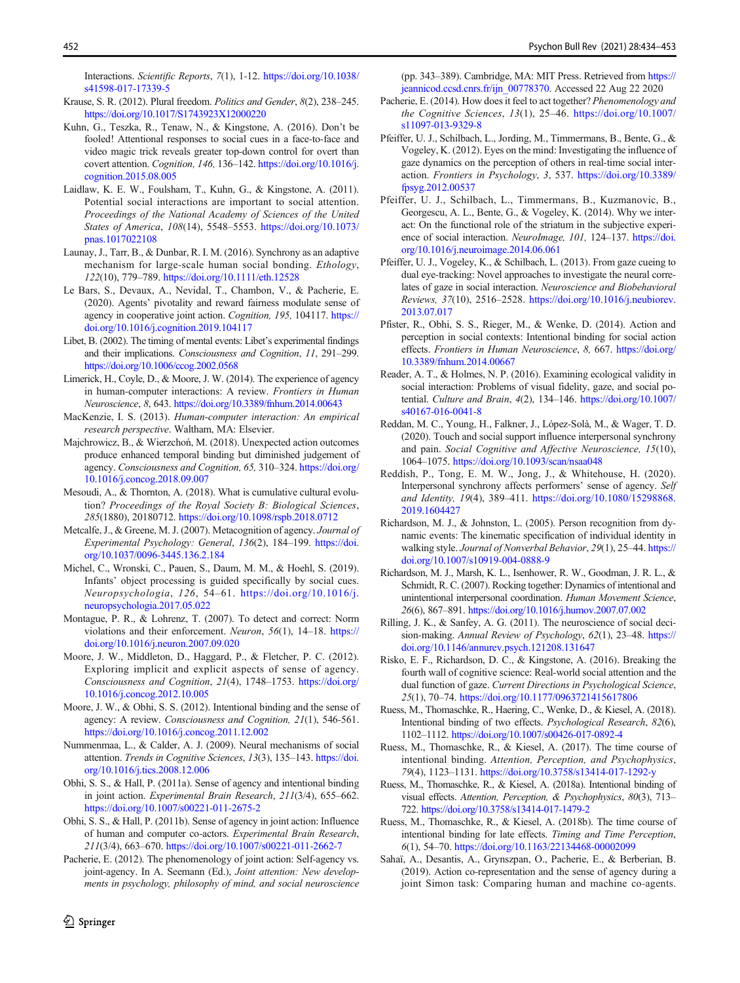<span id="page-18-0"></span>Interactions. Scientific Reports, 7(1), 1-12. [https://doi.org/10.1038/](https://doi.org/10.1038/s41598-017-17339-5) [s41598-017-17339-5](https://doi.org/10.1038/s41598-017-17339-5)

- Krause, S. R. (2012). Plural freedom. Politics and Gender, 8(2), 238–245. <https://doi.org/10.1017/S1743923X12000220>
- Kuhn, G., Teszka, R., Tenaw, N., & Kingstone, A. (2016). Don't be fooled! Attentional responses to social cues in a face-to-face and video magic trick reveals greater top-down control for overt than covert attention. Cognition, 146, 136–142. [https://doi.org/10.1016/j.](https://doi.org/10.1016/j.cognition.2015.08.005) [cognition.2015.08.005](https://doi.org/10.1016/j.cognition.2015.08.005)
- Laidlaw, K. E. W., Foulsham, T., Kuhn, G., & Kingstone, A. (2011). Potential social interactions are important to social attention. Proceedings of the National Academy of Sciences of the United States of America, 108(14), 5548–5553. [https://doi.org/10.1073/](https://doi.org/10.1073/pnas.1017022108) [pnas.1017022108](https://doi.org/10.1073/pnas.1017022108)
- Launay, J., Tarr, B., & Dunbar, R. I. M. (2016). Synchrony as an adaptive mechanism for large-scale human social bonding. Ethology, 122(10), 779–789. <https://doi.org/10.1111/eth.12528>
- Le Bars, S., Devaux, A., Nevidal, T., Chambon, V., & Pacherie, E. (2020). Agents' pivotality and reward fairness modulate sense of agency in cooperative joint action. Cognition, 195, 104117. [https://](https://doi.org/10.1016/j.cognition.2019.104117) [doi.org/10.1016/j.cognition.2019.104117](https://doi.org/10.1016/j.cognition.2019.104117)
- Libet, B. (2002). The timing of mental events: Libet's experimental findings and their implications. Consciousness and Cognition, 11, 291–299. <https://doi.org/10.1006/ccog.2002.0568>
- Limerick, H., Coyle, D., & Moore, J. W. (2014). The experience of agency in human-computer interactions: A review. Frontiers in Human Neuroscience, 8, 643. <https://doi.org/10.3389/fnhum.2014.00643>
- MacKenzie, I. S. (2013). Human-computer interaction: An empirical research perspective. Waltham, MA: Elsevier.
- Majchrowicz, B., & Wierzchoń, M. (2018). Unexpected action outcomes produce enhanced temporal binding but diminished judgement of agency. Consciousness and Cognition, 65, 310–324. [https://doi.org/](https://doi.org/10.1016/j.concog.2018.09.007) [10.1016/j.concog.2018.09.007](https://doi.org/10.1016/j.concog.2018.09.007)
- Mesoudi, A., & Thornton, A. (2018). What is cumulative cultural evolution? Proceedings of the Royal Society B: Biological Sciences, 285(1880), 20180712. <https://doi.org/10.1098/rspb.2018.0712>
- Metcalfe, J., & Greene, M. J. (2007). Metacognition of agency. Journal of Experimental Psychology: General, 136(2), 184–199. [https://doi.](https://doi.org/10.1037/0096-3445.136.2.184) [org/10.1037/0096-3445.136.2.184](https://doi.org/10.1037/0096-3445.136.2.184)
- Michel, C., Wronski, C., Pauen, S., Daum, M. M., & Hoehl, S. (2019). Infants' object processing is guided specifically by social cues. Neuropsychologia, 126, 54–61. [https://doi.org/10.1016/j.](https://doi.org/10.1016/j.neuropsychologia.2017.05.022) [neuropsychologia.2017.05.022](https://doi.org/10.1016/j.neuropsychologia.2017.05.022)
- Montague, P. R., & Lohrenz, T. (2007). To detect and correct: Norm violations and their enforcement. Neuron, 56(1), 14–18. [https://](https://doi.org/10.1016/j.neuron.2007.09.020) [doi.org/10.1016/j.neuron.2007.09.020](https://doi.org/10.1016/j.neuron.2007.09.020)
- Moore, J. W., Middleton, D., Haggard, P., & Fletcher, P. C. (2012). Exploring implicit and explicit aspects of sense of agency. Consciousness and Cognition, 21(4), 1748–1753. [https://doi.org/](https://doi.org/10.1016/j.concog.2012.10.005) [10.1016/j.concog.2012.10.005](https://doi.org/10.1016/j.concog.2012.10.005)
- Moore, J. W., & Obhi, S. S. (2012). Intentional binding and the sense of agency: A review. Consciousness and Cognition, 21(1), 546-561. <https://doi.org/10.1016/j.concog.2011.12.002>
- Nummenmaa, L., & Calder, A. J. (2009). Neural mechanisms of social attention. Trends in Cognitive Sciences, 13(3), 135–143. [https://doi.](https://doi.org/10.1016/j.tics.2008.12.006) [org/10.1016/j.tics.2008.12.006](https://doi.org/10.1016/j.tics.2008.12.006)
- Obhi, S. S., & Hall, P. (2011a). Sense of agency and intentional binding in joint action. Experimental Brain Research, 211(3/4), 655–662. <https://doi.org/10.1007/s00221-011-2675-2>
- Obhi, S. S., & Hall, P. (2011b). Sense of agency in joint action: Influence of human and computer co-actors. Experimental Brain Research, 211(3/4), 663–670. <https://doi.org/10.1007/s00221-011-2662-7>
- Pacherie, E. (2012). The phenomenology of joint action: Self-agency vs. joint-agency. In A. Seemann (Ed.), Joint attention: New developments in psychology, philosophy of mind, and social neuroscience

(pp. 343–389). Cambridge, MA: MIT Press. Retrieved from [https://](https://jeannicod.ccsd.cnrs.fr/ijn_00778370) [jeannicod.ccsd.cnrs.fr/ijn\\_00778370](https://jeannicod.ccsd.cnrs.fr/ijn_00778370). Accessed 22 Aug 22 2020

- Pacherie, E. (2014). How does it feel to act together? Phenomenology and the Cognitive Sciences, 13(1), 25–46. [https://doi.org/10.1007/](https://doi.org/10.1007/s11097-013-9329-8) [s11097-013-9329-8](https://doi.org/10.1007/s11097-013-9329-8)
- Pfeiffer, U. J., Schilbach, L., Jording, M., Timmermans, B., Bente, G., & Vogeley, K. (2012). Eyes on the mind: Investigating the influence of gaze dynamics on the perception of others in real-time social interaction. Frontiers in Psychology, 3, 537. [https://doi.org/10.3389/](https://doi.org/10.3389/fpsyg.2012.00537) [fpsyg.2012.00537](https://doi.org/10.3389/fpsyg.2012.00537)
- Pfeiffer, U. J., Schilbach, L., Timmermans, B., Kuzmanovic, B., Georgescu, A. L., Bente, G., & Vogeley, K. (2014). Why we interact: On the functional role of the striatum in the subjective experience of social interaction. NeuroImage, 101, 124-137. [https://doi.](https://doi.org/10.1016/j.neuroimage.2014.06.061) [org/10.1016/j.neuroimage.2014.06.061](https://doi.org/10.1016/j.neuroimage.2014.06.061)
- Pfeiffer, U. J., Vogeley, K., & Schilbach, L. (2013). From gaze cueing to dual eye-tracking: Novel approaches to investigate the neural correlates of gaze in social interaction. Neuroscience and Biobehavioral Reviews, 37(10), 2516–2528. [https://doi.org/10.1016/j.neubiorev.](https://doi.org/10.1016/j.neubiorev.2013.07.017) [2013.07.017](https://doi.org/10.1016/j.neubiorev.2013.07.017)
- Pfister, R., Obhi, S. S., Rieger, M., & Wenke, D. (2014). Action and perception in social contexts: Intentional binding for social action effects. Frontiers in Human Neuroscience, 8, 667. [https://doi.org/](https://doi.org/10.3389/fnhum.2014.00667) [10.3389/fnhum.2014.00667](https://doi.org/10.3389/fnhum.2014.00667)
- Reader, A. T., & Holmes, N. P. (2016). Examining ecological validity in social interaction: Problems of visual fidelity, gaze, and social potential. Culture and Brain, 4(2), 134–146. [https://doi.org/10.1007/](https://doi.org/10.1007/s40167-016-0041-8) [s40167-016-0041-8](https://doi.org/10.1007/s40167-016-0041-8)
- Reddan, M. C., Young, H., Falkner, J., López-Solà, M., & Wager, T. D. (2020). Touch and social support influence interpersonal synchrony and pain. Social Cognitive and Affective Neuroscience, 15(10), 1064–1075. <https://doi.org/10.1093/scan/nsaa048>
- Reddish, P., Tong, E. M. W., Jong, J., & Whitehouse, H. (2020). Interpersonal synchrony affects performers' sense of agency. Self and Identity, 19(4), 389–411. [https://doi.org/10.1080/15298868.](https://doi.org/10.1080/15298868.2019.1604427) [2019.1604427](https://doi.org/10.1080/15298868.2019.1604427)
- Richardson, M. J., & Johnston, L. (2005). Person recognition from dynamic events: The kinematic specification of individual identity in walking style. Journal of Nonverbal Behavior, 29(1), 25-44. [https://](https://doi.org/10.1007/s10919-004-0888-9) [doi.org/10.1007/s10919-004-0888-9](https://doi.org/10.1007/s10919-004-0888-9)
- Richardson, M. J., Marsh, K. L., Isenhower, R. W., Goodman, J. R. L., & Schmidt, R. C. (2007). Rocking together: Dynamics of intentional and unintentional interpersonal coordination. Human Movement Science, 26(6), 867–891. <https://doi.org/10.1016/j.humov.2007.07.002>
- Rilling, J. K., & Sanfey, A. G. (2011). The neuroscience of social decision-making. Annual Review of Psychology, 62(1), 23-48. [https://](https://doi.org/10.1146/annurev.psych.121208.131647) [doi.org/10.1146/annurev.psych.121208.131647](https://doi.org/10.1146/annurev.psych.121208.131647)
- Risko, E. F., Richardson, D. C., & Kingstone, A. (2016). Breaking the fourth wall of cognitive science: Real-world social attention and the dual function of gaze. Current Directions in Psychological Science, 25(1), 70–74. <https://doi.org/10.1177/0963721415617806>
- Ruess, M., Thomaschke, R., Haering, C., Wenke, D., & Kiesel, A. (2018). Intentional binding of two effects. Psychological Research, 82(6), 1102–1112. <https://doi.org/10.1007/s00426-017-0892-4>
- Ruess, M., Thomaschke, R., & Kiesel, A. (2017). The time course of intentional binding. Attention, Perception, and Psychophysics, 79(4), 1123–1131. <https://doi.org/10.3758/s13414-017-1292-y>
- Ruess, M., Thomaschke, R., & Kiesel, A. (2018a). Intentional binding of visual effects. Attention, Perception, & Psychophysics, 80(3), 713– 722. <https://doi.org/10.3758/s13414-017-1479-2>
- Ruess, M., Thomaschke, R., & Kiesel, A. (2018b). The time course of intentional binding for late effects. Timing and Time Perception, 6(1), 54–70. <https://doi.org/10.1163/22134468-00002099>
- Sahaï, A., Desantis, A., Grynszpan, O., Pacherie, E., & Berberian, B. (2019). Action co-representation and the sense of agency during a joint Simon task: Comparing human and machine co-agents.